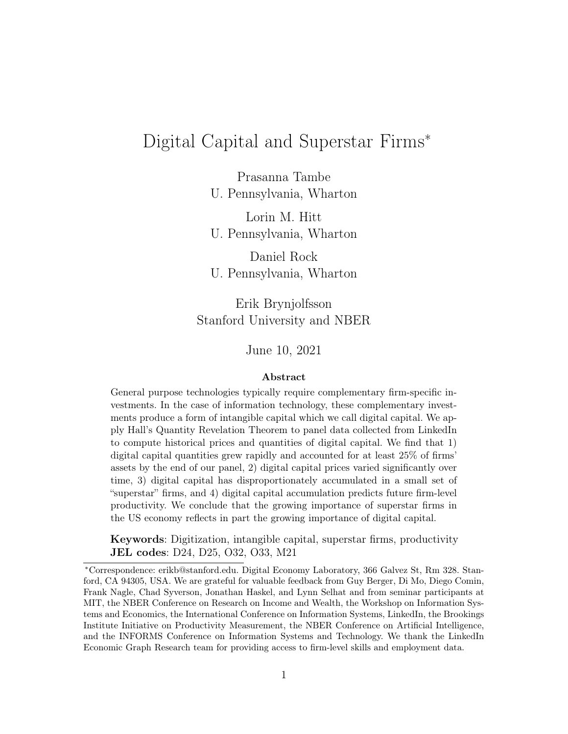# <span id="page-0-0"></span>Digital Capital and Superstar Firms<sup>∗</sup>

Prasanna Tambe U. Pennsylvania, Wharton

Lorin M. Hitt U. Pennsylvania, Wharton

Daniel Rock U. Pennsylvania, Wharton

Erik Brynjolfsson Stanford University and NBER

June 10, 2021

#### Abstract

General purpose technologies typically require complementary firm-specific investments. In the case of information technology, these complementary investments produce a form of intangible capital which we call digital capital. We apply Hall's Quantity Revelation Theorem to panel data collected from LinkedIn to compute historical prices and quantities of digital capital. We find that 1) digital capital quantities grew rapidly and accounted for at least 25% of firms' assets by the end of our panel, 2) digital capital prices varied significantly over time, 3) digital capital has disproportionately accumulated in a small set of "superstar" firms, and 4) digital capital accumulation predicts future firm-level productivity. We conclude that the growing importance of superstar firms in the US economy reflects in part the growing importance of digital capital.

Keywords: Digitization, intangible capital, superstar firms, productivity JEL codes: D24, D25, O32, O33, M21

<sup>∗</sup>Correspondence: erikb@stanford.edu. Digital Economy Laboratory, 366 Galvez St, Rm 328. Stanford, CA 94305, USA. We are grateful for valuable feedback from Guy Berger, Di Mo, Diego Comin, Frank Nagle, Chad Syverson, Jonathan Haskel, and Lynn Selhat and from seminar participants at MIT, the NBER Conference on Research on Income and Wealth, the Workshop on Information Systems and Economics, the International Conference on Information Systems, LinkedIn, the Brookings Institute Initiative on Productivity Measurement, the NBER Conference on Artificial Intelligence, and the INFORMS Conference on Information Systems and Technology. We thank the LinkedIn Economic Graph Research team for providing access to firm-level skills and employment data.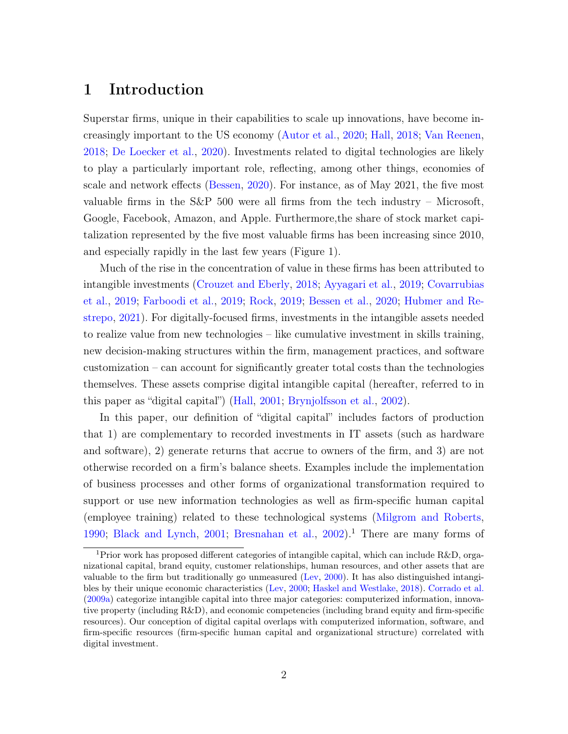# 1 Introduction

Superstar firms, unique in their capabilities to scale up innovations, have become increasingly important to the US economy [\(Autor et al.,](#page-26-0) [2020;](#page-26-0) [Hall,](#page-28-0) [2018;](#page-28-0) [Van Reenen,](#page-29-0) [2018;](#page-29-0) [De Loecker et al.,](#page-27-0) [2020\)](#page-27-0). Investments related to digital technologies are likely to play a particularly important role, reflecting, among other things, economies of scale and network effects [\(Bessen,](#page-26-1) [2020\)](#page-26-1). For instance, as of May 2021, the five most valuable firms in the S&P 500 were all firms from the tech industry – Microsoft, Google, Facebook, Amazon, and Apple. Furthermore,the share of stock market capitalization represented by the five most valuable firms has been increasing since 2010, and especially rapidly in the last few years (Figure [1\)](#page-30-0).

Much of the rise in the concentration of value in these firms has been attributed to intangible investments [\(Crouzet and Eberly,](#page-27-1) [2018;](#page-27-1) [Ayyagari et al.,](#page-26-2) [2019;](#page-26-2) [Covarrubias](#page-27-2) [et al.,](#page-27-2) [2019;](#page-27-2) [Farboodi et al.,](#page-28-1) [2019;](#page-28-1) [Rock,](#page-29-1) [2019;](#page-29-1) [Bessen et al.,](#page-26-3) [2020;](#page-26-3) [Hubmer and Re](#page-28-2)[strepo,](#page-28-2) [2021\)](#page-28-2). For digitally-focused firms, investments in the intangible assets needed to realize value from new technologies – like cumulative investment in skills training, new decision-making structures within the firm, management practices, and software customization – can account for significantly greater total costs than the technologies themselves. These assets comprise digital intangible capital (hereafter, referred to in this paper as "digital capital") [\(Hall,](#page-28-3) [2001;](#page-28-3) [Brynjolfsson et al.,](#page-27-3) [2002\)](#page-27-3).

In this paper, our definition of "digital capital" includes factors of production that 1) are complementary to recorded investments in IT assets (such as hardware and software), 2) generate returns that accrue to owners of the firm, and 3) are not otherwise recorded on a firm's balance sheets. Examples include the implementation of business processes and other forms of organizational transformation required to support or use new information technologies as well as firm-specific human capital (employee training) related to these technological systems [\(Milgrom and Roberts,](#page-29-2) [1990;](#page-29-2) [Black and Lynch,](#page-26-4) [2001;](#page-26-4) [Bresnahan et al.,](#page-26-5) [2002\)](#page-26-5).<sup>[1](#page-0-0)</sup> There are many forms of

<sup>&</sup>lt;sup>1</sup>Prior work has proposed different categories of intangible capital, which can include R&D, organizational capital, brand equity, customer relationships, human resources, and other assets that are valuable to the firm but traditionally go unmeasured [\(Lev,](#page-28-4) [2000\)](#page-28-4). It has also distinguished intangibles by their unique economic characteristics [\(Lev,](#page-28-4) [2000;](#page-28-4) [Haskel and Westlake,](#page-28-5) [2018\)](#page-28-5). [Corrado et al.](#page-27-4) [\(2009a\)](#page-27-4) categorize intangible capital into three major categories: computerized information, innovative property (including R&D), and economic competencies (including brand equity and firm-specific resources). Our conception of digital capital overlaps with computerized information, software, and firm-specific resources (firm-specific human capital and organizational structure) correlated with digital investment.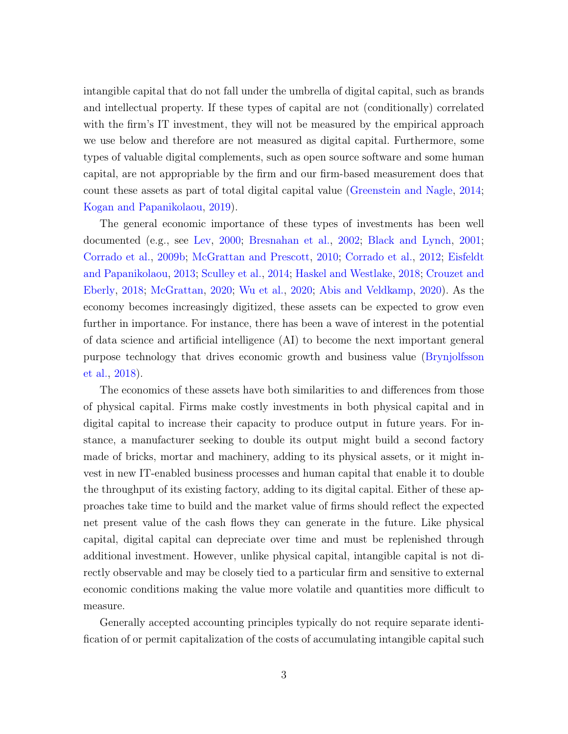intangible capital that do not fall under the umbrella of digital capital, such as brands and intellectual property. If these types of capital are not (conditionally) correlated with the firm's IT investment, they will not be measured by the empirical approach we use below and therefore are not measured as digital capital. Furthermore, some types of valuable digital complements, such as open source software and some human capital, are not appropriable by the firm and our firm-based measurement does that count these assets as part of total digital capital value [\(Greenstein and Nagle,](#page-28-6) [2014;](#page-28-6) [Kogan and Papanikolaou,](#page-28-7) [2019\)](#page-28-7).

The general economic importance of these types of investments has been well documented (e.g., see [Lev,](#page-28-4) [2000;](#page-28-4) [Bresnahan et al.,](#page-26-5) [2002;](#page-26-5) [Black and Lynch,](#page-26-4) [2001;](#page-26-4) [Corrado et al.,](#page-27-5) [2009b;](#page-27-5) [McGrattan and Prescott,](#page-29-3) [2010;](#page-29-3) [Corrado et al.,](#page-27-6) [2012;](#page-27-6) [Eisfeldt](#page-27-7) [and Papanikolaou,](#page-27-7) [2013;](#page-27-7) [Sculley et al.,](#page-29-4) [2014;](#page-29-4) [Haskel and Westlake,](#page-28-5) [2018;](#page-28-5) [Crouzet and](#page-27-1) [Eberly,](#page-27-1) [2018;](#page-27-1) [McGrattan,](#page-28-8) [2020;](#page-28-8) [Wu et al.,](#page-29-5) [2020;](#page-29-5) [Abis and Veldkamp,](#page-26-6) [2020\)](#page-26-6). As the economy becomes increasingly digitized, these assets can be expected to grow even further in importance. For instance, there has been a wave of interest in the potential of data science and artificial intelligence (AI) to become the next important general purpose technology that drives economic growth and business value [\(Brynjolfsson](#page-27-8) [et al.,](#page-27-8) [2018\)](#page-27-8).

The economics of these assets have both similarities to and differences from those of physical capital. Firms make costly investments in both physical capital and in digital capital to increase their capacity to produce output in future years. For instance, a manufacturer seeking to double its output might build a second factory made of bricks, mortar and machinery, adding to its physical assets, or it might invest in new IT-enabled business processes and human capital that enable it to double the throughput of its existing factory, adding to its digital capital. Either of these approaches take time to build and the market value of firms should reflect the expected net present value of the cash flows they can generate in the future. Like physical capital, digital capital can depreciate over time and must be replenished through additional investment. However, unlike physical capital, intangible capital is not directly observable and may be closely tied to a particular firm and sensitive to external economic conditions making the value more volatile and quantities more difficult to measure.

Generally accepted accounting principles typically do not require separate identification of or permit capitalization of the costs of accumulating intangible capital such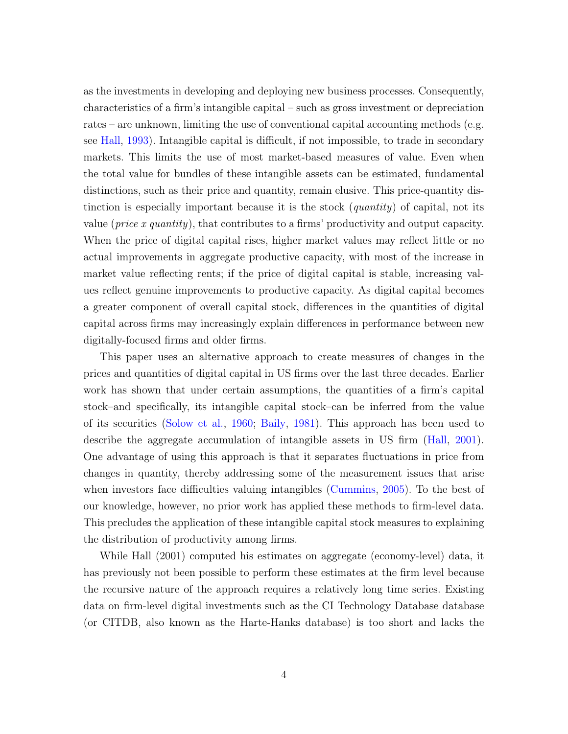as the investments in developing and deploying new business processes. Consequently, characteristics of a firm's intangible capital – such as gross investment or depreciation rates – are unknown, limiting the use of conventional capital accounting methods (e.g. see [Hall,](#page-28-9) [1993\)](#page-28-9). Intangible capital is difficult, if not impossible, to trade in secondary markets. This limits the use of most market-based measures of value. Even when the total value for bundles of these intangible assets can be estimated, fundamental distinctions, such as their price and quantity, remain elusive. This price-quantity distinction is especially important because it is the stock (*quantity*) of capital, not its value (price x quantity), that contributes to a firms' productivity and output capacity. When the price of digital capital rises, higher market values may reflect little or no actual improvements in aggregate productive capacity, with most of the increase in market value reflecting rents; if the price of digital capital is stable, increasing values reflect genuine improvements to productive capacity. As digital capital becomes a greater component of overall capital stock, differences in the quantities of digital capital across firms may increasingly explain differences in performance between new digitally-focused firms and older firms.

This paper uses an alternative approach to create measures of changes in the prices and quantities of digital capital in US firms over the last three decades. Earlier work has shown that under certain assumptions, the quantities of a firm's capital stock–and specifically, its intangible capital stock–can be inferred from the value of its securities [\(Solow et al.,](#page-29-6) [1960;](#page-29-6) [Baily,](#page-26-7) [1981\)](#page-26-7). This approach has been used to describe the aggregate accumulation of intangible assets in US firm [\(Hall,](#page-28-3) [2001\)](#page-28-3). One advantage of using this approach is that it separates fluctuations in price from changes in quantity, thereby addressing some of the measurement issues that arise when investors face difficulties valuing intangibles [\(Cummins,](#page-27-9) [2005\)](#page-27-9). To the best of our knowledge, however, no prior work has applied these methods to firm-level data. This precludes the application of these intangible capital stock measures to explaining the distribution of productivity among firms.

While Hall (2001) computed his estimates on aggregate (economy-level) data, it has previously not been possible to perform these estimates at the firm level because the recursive nature of the approach requires a relatively long time series. Existing data on firm-level digital investments such as the CI Technology Database database (or CITDB, also known as the Harte-Hanks database) is too short and lacks the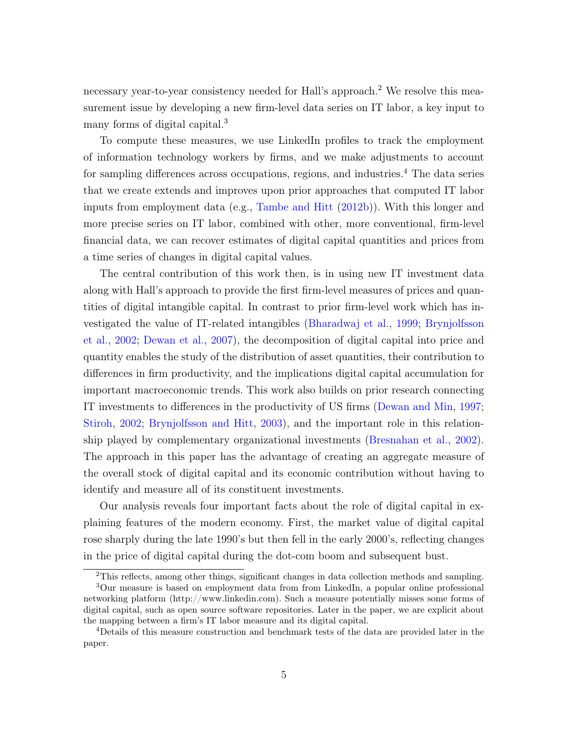necessary year-to-year consistency needed for Hall's approach.<sup>[2](#page-0-0)</sup> We resolve this measurement issue by developing a new firm-level data series on IT labor, a key input to many forms of digital capital.<sup>[3](#page-0-0)</sup>

To compute these measures, we use LinkedIn profiles to track the employment of information technology workers by firms, and we make adjustments to account for sampling differences across occupations, regions, and industries.<sup>[4](#page-0-0)</sup> The data series that we create extends and improves upon prior approaches that computed IT labor inputs from employment data (e.g., [Tambe and Hitt](#page-29-7) [\(2012b\)](#page-29-7)). With this longer and more precise series on IT labor, combined with other, more conventional, firm-level financial data, we can recover estimates of digital capital quantities and prices from a time series of changes in digital capital values.

The central contribution of this work then, is in using new IT investment data along with Hall's approach to provide the first firm-level measures of prices and quantities of digital intangible capital. In contrast to prior firm-level work which has investigated the value of IT-related intangibles [\(Bharadwaj et al.,](#page-26-8) [1999;](#page-26-8) [Brynjolfsson](#page-27-3) [et al.,](#page-27-3) [2002;](#page-27-3) [Dewan et al.,](#page-27-10) [2007\)](#page-27-10), the decomposition of digital capital into price and quantity enables the study of the distribution of asset quantities, their contribution to differences in firm productivity, and the implications digital capital accumulation for important macroeconomic trends. This work also builds on prior research connecting IT investments to differences in the productivity of US firms [\(Dewan and Min,](#page-27-11) [1997;](#page-27-11) [Stiroh,](#page-29-8) [2002;](#page-29-8) [Brynjolfsson and Hitt,](#page-27-12) [2003\)](#page-27-12), and the important role in this relationship played by complementary organizational investments [\(Bresnahan et al.,](#page-26-5) [2002\)](#page-26-5). The approach in this paper has the advantage of creating an aggregate measure of the overall stock of digital capital and its economic contribution without having to identify and measure all of its constituent investments.

Our analysis reveals four important facts about the role of digital capital in explaining features of the modern economy. First, the market value of digital capital rose sharply during the late 1990's but then fell in the early 2000's, reflecting changes in the price of digital capital during the dot-com boom and subsequent bust.

<sup>2</sup>This reflects, among other things, significant changes in data collection methods and sampling.

<sup>3</sup>Our measure is based on employment data from from LinkedIn, a popular online professional networking platform (http://www.linkedin.com). Such a measure potentially misses some forms of digital capital, such as open source software repositories. Later in the paper, we are explicit about the mapping between a firm's IT labor measure and its digital capital.

<sup>4</sup>Details of this measure construction and benchmark tests of the data are provided later in the paper.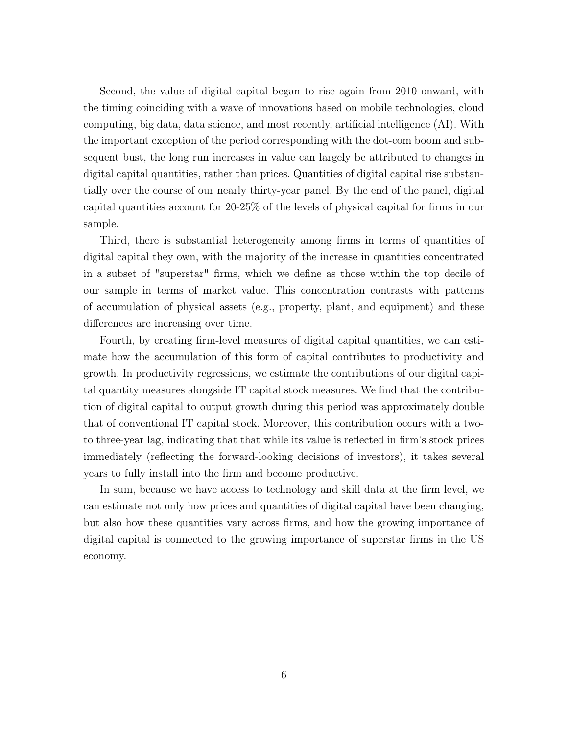Second, the value of digital capital began to rise again from 2010 onward, with the timing coinciding with a wave of innovations based on mobile technologies, cloud computing, big data, data science, and most recently, artificial intelligence (AI). With the important exception of the period corresponding with the dot-com boom and subsequent bust, the long run increases in value can largely be attributed to changes in digital capital quantities, rather than prices. Quantities of digital capital rise substantially over the course of our nearly thirty-year panel. By the end of the panel, digital capital quantities account for 20-25% of the levels of physical capital for firms in our sample.

Third, there is substantial heterogeneity among firms in terms of quantities of digital capital they own, with the majority of the increase in quantities concentrated in a subset of "superstar" firms, which we define as those within the top decile of our sample in terms of market value. This concentration contrasts with patterns of accumulation of physical assets (e.g., property, plant, and equipment) and these differences are increasing over time.

Fourth, by creating firm-level measures of digital capital quantities, we can estimate how the accumulation of this form of capital contributes to productivity and growth. In productivity regressions, we estimate the contributions of our digital capital quantity measures alongside IT capital stock measures. We find that the contribution of digital capital to output growth during this period was approximately double that of conventional IT capital stock. Moreover, this contribution occurs with a twoto three-year lag, indicating that that while its value is reflected in firm's stock prices immediately (reflecting the forward-looking decisions of investors), it takes several years to fully install into the firm and become productive.

In sum, because we have access to technology and skill data at the firm level, we can estimate not only how prices and quantities of digital capital have been changing, but also how these quantities vary across firms, and how the growing importance of digital capital is connected to the growing importance of superstar firms in the US economy.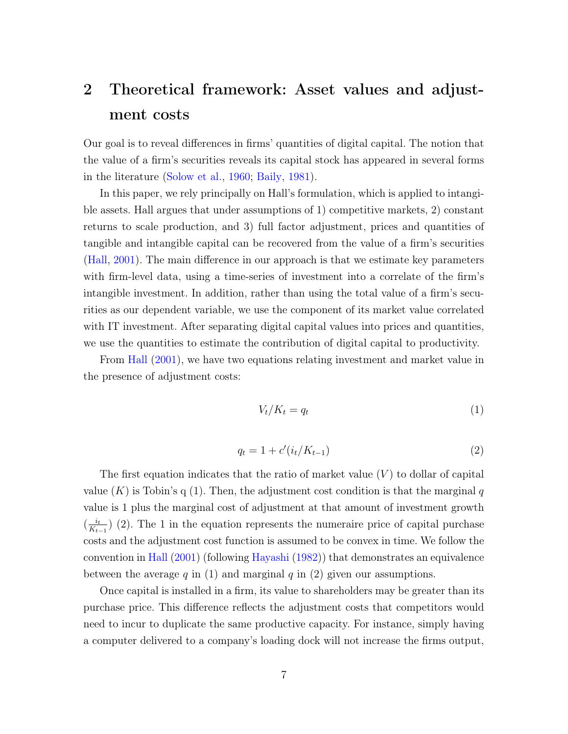# 2 Theoretical framework: Asset values and adjustment costs

Our goal is to reveal differences in firms' quantities of digital capital. The notion that the value of a firm's securities reveals its capital stock has appeared in several forms in the literature [\(Solow et al.,](#page-29-6) [1960;](#page-29-6) [Baily,](#page-26-7) [1981\)](#page-26-7).

In this paper, we rely principally on Hall's formulation, which is applied to intangible assets. Hall argues that under assumptions of 1) competitive markets, 2) constant returns to scale production, and 3) full factor adjustment, prices and quantities of tangible and intangible capital can be recovered from the value of a firm's securities [\(Hall,](#page-28-3) [2001\)](#page-28-3). The main difference in our approach is that we estimate key parameters with firm-level data, using a time-series of investment into a correlate of the firm's intangible investment. In addition, rather than using the total value of a firm's securities as our dependent variable, we use the component of its market value correlated with IT investment. After separating digital capital values into prices and quantities, we use the quantities to estimate the contribution of digital capital to productivity.

From [Hall](#page-28-3) [\(2001\)](#page-28-3), we have two equations relating investment and market value in the presence of adjustment costs:

<span id="page-6-0"></span>
$$
V_t/K_t = q_t \tag{1}
$$

<span id="page-6-1"></span>
$$
q_t = 1 + c'(i_t/K_{t-1})
$$
\n(2)

The first equation indicates that the ratio of market value  $(V)$  to dollar of capital value  $(K)$  is Tobin's q [\(1\)](#page-6-0). Then, the adjustment cost condition is that the marginal q value is 1 plus the marginal cost of adjustment at that amount of investment growth  $\left(\frac{i}{K}\right)$  $\frac{i_t}{K_{t-1}}$  [\(2\)](#page-6-1). The 1 in the equation represents the numeraire price of capital purchase costs and the adjustment cost function is assumed to be convex in time. We follow the convention in [Hall](#page-28-3) [\(2001\)](#page-28-3) (following [Hayashi](#page-28-10) [\(1982\)](#page-28-10)) that demonstrates an equivalence between the average q in [\(1\)](#page-6-0) and marginal q in [\(2\)](#page-6-1) given our assumptions.

Once capital is installed in a firm, its value to shareholders may be greater than its purchase price. This difference reflects the adjustment costs that competitors would need to incur to duplicate the same productive capacity. For instance, simply having a computer delivered to a company's loading dock will not increase the firms output,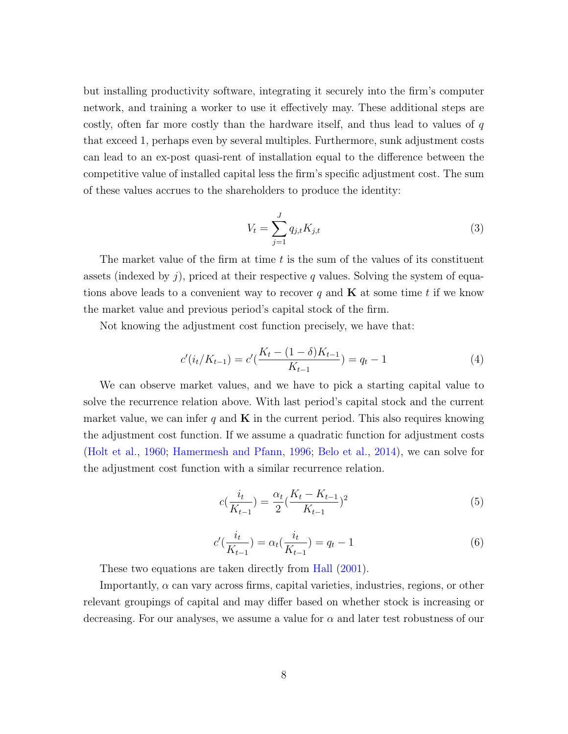but installing productivity software, integrating it securely into the firm's computer network, and training a worker to use it effectively may. These additional steps are costly, often far more costly than the hardware itself, and thus lead to values of  $q$ that exceed 1, perhaps even by several multiples. Furthermore, sunk adjustment costs can lead to an ex-post quasi-rent of installation equal to the difference between the competitive value of installed capital less the firm's specific adjustment cost. The sum of these values accrues to the shareholders to produce the identity:

$$
V_t = \sum_{j=1}^{J} q_{j,t} K_{j,t}
$$
\n(3)

The market value of the firm at time  $t$  is the sum of the values of its constituent assets (indexed by  $i$ ), priced at their respective q values. Solving the system of equations above leads to a convenient way to recover q and  $\bf{K}$  at some time t if we know the market value and previous period's capital stock of the firm.

Not knowing the adjustment cost function precisely, we have that:

$$
c'(i_t/K_{t-1}) = c'(\frac{K_t - (1 - \delta)K_{t-1}}{K_{t-1}}) = q_t - 1
$$
\n(4)

We can observe market values, and we have to pick a starting capital value to solve the recurrence relation above. With last period's capital stock and the current market value, we can infer q and  $\bf{K}$  in the current period. This also requires knowing the adjustment cost function. If we assume a quadratic function for adjustment costs [\(Holt et al.,](#page-28-11) [1960;](#page-28-11) [Hamermesh and Pfann,](#page-28-12) [1996;](#page-28-12) [Belo et al.,](#page-26-9) [2014\)](#page-26-9), we can solve for the adjustment cost function with a similar recurrence relation.

$$
c(\frac{i_t}{K_{t-1}}) = \frac{\alpha_t}{2} (\frac{K_t - K_{t-1}}{K_{t-1}})^2
$$
\n(5)

<span id="page-7-0"></span>
$$
c'(\frac{i_t}{K_{t-1}}) = \alpha_t(\frac{i_t}{K_{t-1}}) = q_t - 1
$$
\n(6)

These two equations are taken directly from [Hall](#page-28-3) [\(2001\)](#page-28-3).

Importantly,  $\alpha$  can vary across firms, capital varieties, industries, regions, or other relevant groupings of capital and may differ based on whether stock is increasing or decreasing. For our analyses, we assume a value for  $\alpha$  and later test robustness of our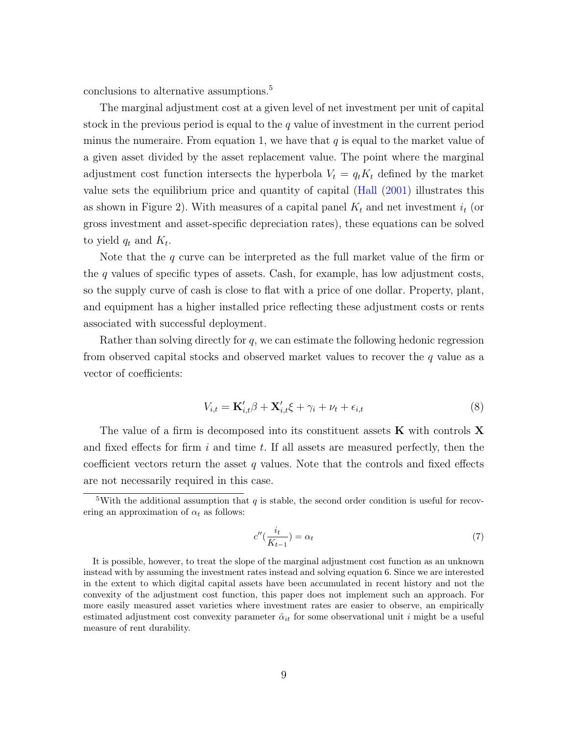conclusions to alternative assumptions.<sup>[5](#page-0-0)</sup>

The marginal adjustment cost at a given level of net investment per unit of capital stock in the previous period is equal to the  $q$  value of investment in the current period minus the numeraire. From equation [1,](#page-6-0) we have that  $q$  is equal to the market value of a given asset divided by the asset replacement value. The point where the marginal adjustment cost function intersects the hyperbola  $V_t = q_t K_t$  defined by the market value sets the equilibrium price and quantity of capital [\(Hall](#page-28-3) [\(2001\)](#page-28-3) illustrates this as shown in Figure [2\)](#page-30-1). With measures of a capital panel  $K_t$  and net investment  $i_t$  (or gross investment and asset-specific depreciation rates), these equations can be solved to yield  $q_t$  and  $K_t$ .

Note that the  $q$  curve can be interpreted as the full market value of the firm or the  $q$  values of specific types of assets. Cash, for example, has low adjustment costs, so the supply curve of cash is close to flat with a price of one dollar. Property, plant, and equipment has a higher installed price reflecting these adjustment costs or rents associated with successful deployment.

Rather than solving directly for  $q$ , we can estimate the following hedonic regression from observed capital stocks and observed market values to recover the  $q$  value as a vector of coefficients:

<span id="page-8-0"></span>
$$
V_{i,t} = \mathbf{K}'_{i,t} \boldsymbol{\beta} + \mathbf{X}'_{i,t} \boldsymbol{\xi} + \gamma_i + \nu_t + \epsilon_{i,t}
$$
\n<sup>(8)</sup>

The value of a firm is decomposed into its constituent assets  $\bf{K}$  with controls  $\bf{X}$ and fixed effects for firm  $i$  and time  $t$ . If all assets are measured perfectly, then the coefficient vectors return the asset q values. Note that the controls and fixed effects are not necessarily required in this case.

<span id="page-8-1"></span>
$$
c''\left(\frac{i_t}{K_{t-1}}\right) = \alpha_t \tag{7}
$$

<sup>&</sup>lt;sup>5</sup>With the additional assumption that q is stable, the second order condition is useful for recovering an approximation of  $\alpha_t$  as follows:

It is possible, however, to treat the slope of the marginal adjustment cost function as an unknown instead with by assuming the investment rates instead and solving equation [6.](#page-7-0) Since we are interested in the extent to which digital capital assets have been accumulated in recent history and not the convexity of the adjustment cost function, this paper does not implement such an approach. For more easily measured asset varieties where investment rates are easier to observe, an empirically estimated adjustment cost convexity parameter  $\hat{\alpha}_{it}$  for some observational unit i might be a useful measure of rent durability.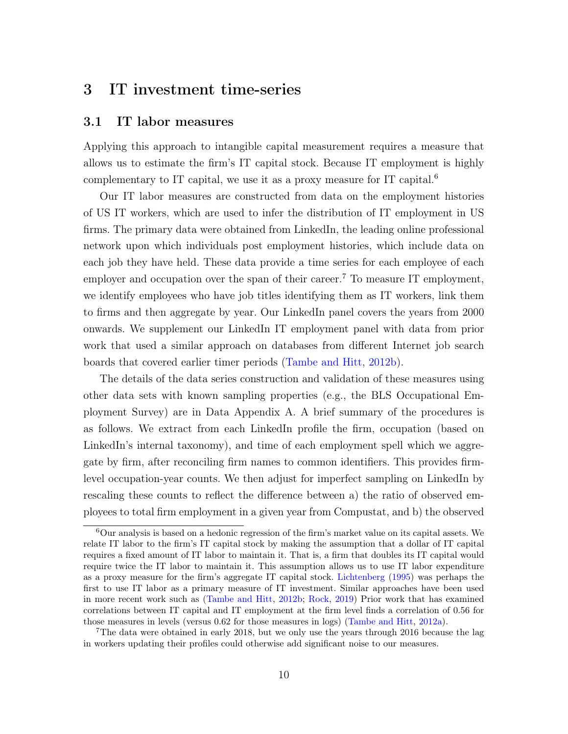# 3 IT investment time-series

#### 3.1 IT labor measures

Applying this approach to intangible capital measurement requires a measure that allows us to estimate the firm's IT capital stock. Because IT employment is highly complementary to IT capital, we use it as a proxy measure for IT capital.<sup>[6](#page-0-0)</sup>

Our IT labor measures are constructed from data on the employment histories of US IT workers, which are used to infer the distribution of IT employment in US firms. The primary data were obtained from LinkedIn, the leading online professional network upon which individuals post employment histories, which include data on each job they have held. These data provide a time series for each employee of each employer and occupation over the span of their career.<sup>[7](#page-0-0)</sup> To measure IT employment, we identify employees who have job titles identifying them as IT workers, link them to firms and then aggregate by year. Our LinkedIn panel covers the years from 2000 onwards. We supplement our LinkedIn IT employment panel with data from prior work that used a similar approach on databases from different Internet job search boards that covered earlier timer periods [\(Tambe and Hitt,](#page-29-7) [2012b\)](#page-29-7).

The details of the data series construction and validation of these measures using other data sets with known sampling properties (e.g., the BLS Occupational Employment Survey) are in Data Appendix [A.](#page-45-0) A brief summary of the procedures is as follows. We extract from each LinkedIn profile the firm, occupation (based on LinkedIn's internal taxonomy), and time of each employment spell which we aggregate by firm, after reconciling firm names to common identifiers. This provides firmlevel occupation-year counts. We then adjust for imperfect sampling on LinkedIn by rescaling these counts to reflect the difference between a) the ratio of observed employees to total firm employment in a given year from Compustat, and b) the observed

 $6$ Our analysis is based on a hedonic regression of the firm's market value on its capital assets. We relate IT labor to the firm's IT capital stock by making the assumption that a dollar of IT capital requires a fixed amount of IT labor to maintain it. That is, a firm that doubles its IT capital would require twice the IT labor to maintain it. This assumption allows us to use IT labor expenditure as a proxy measure for the firm's aggregate IT capital stock. [Lichtenberg](#page-28-13) [\(1995\)](#page-28-13) was perhaps the first to use IT labor as a primary measure of IT investment. Similar approaches have been used in more recent work such as [\(Tambe and Hitt,](#page-29-7) [2012b;](#page-29-7) [Rock,](#page-29-1) [2019\)](#page-29-1) Prior work that has examined correlations between IT capital and IT employment at the firm level finds a correlation of 0.56 for those measures in levels (versus 0.62 for those measures in logs) [\(Tambe and Hitt,](#page-29-9) [2012a\)](#page-29-9).

<sup>7</sup>The data were obtained in early 2018, but we only use the years through 2016 because the lag in workers updating their profiles could otherwise add significant noise to our measures.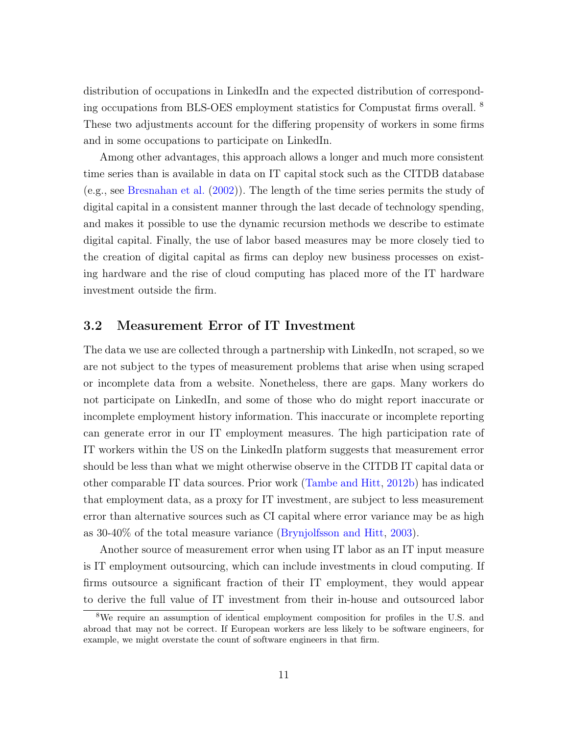distribution of occupations in LinkedIn and the expected distribution of corresponding occupations from BLS-OES employment statistics for Compustat firms overall. [8](#page-0-0) These two adjustments account for the differing propensity of workers in some firms and in some occupations to participate on LinkedIn.

Among other advantages, this approach allows a longer and much more consistent time series than is available in data on IT capital stock such as the CITDB database (e.g., see [Bresnahan et al.](#page-26-5) [\(2002\)](#page-26-5)). The length of the time series permits the study of digital capital in a consistent manner through the last decade of technology spending, and makes it possible to use the dynamic recursion methods we describe to estimate digital capital. Finally, the use of labor based measures may be more closely tied to the creation of digital capital as firms can deploy new business processes on existing hardware and the rise of cloud computing has placed more of the IT hardware investment outside the firm.

### 3.2 Measurement Error of IT Investment

The data we use are collected through a partnership with LinkedIn, not scraped, so we are not subject to the types of measurement problems that arise when using scraped or incomplete data from a website. Nonetheless, there are gaps. Many workers do not participate on LinkedIn, and some of those who do might report inaccurate or incomplete employment history information. This inaccurate or incomplete reporting can generate error in our IT employment measures. The high participation rate of IT workers within the US on the LinkedIn platform suggests that measurement error should be less than what we might otherwise observe in the CITDB IT capital data or other comparable IT data sources. Prior work [\(Tambe and Hitt,](#page-29-7) [2012b\)](#page-29-7) has indicated that employment data, as a proxy for IT investment, are subject to less measurement error than alternative sources such as CI capital where error variance may be as high as 30-40% of the total measure variance [\(Brynjolfsson and Hitt,](#page-27-12) [2003\)](#page-27-12).

Another source of measurement error when using IT labor as an IT input measure is IT employment outsourcing, which can include investments in cloud computing. If firms outsource a significant fraction of their IT employment, they would appear to derive the full value of IT investment from their in-house and outsourced labor

<sup>8</sup>We require an assumption of identical employment composition for profiles in the U.S. and abroad that may not be correct. If European workers are less likely to be software engineers, for example, we might overstate the count of software engineers in that firm.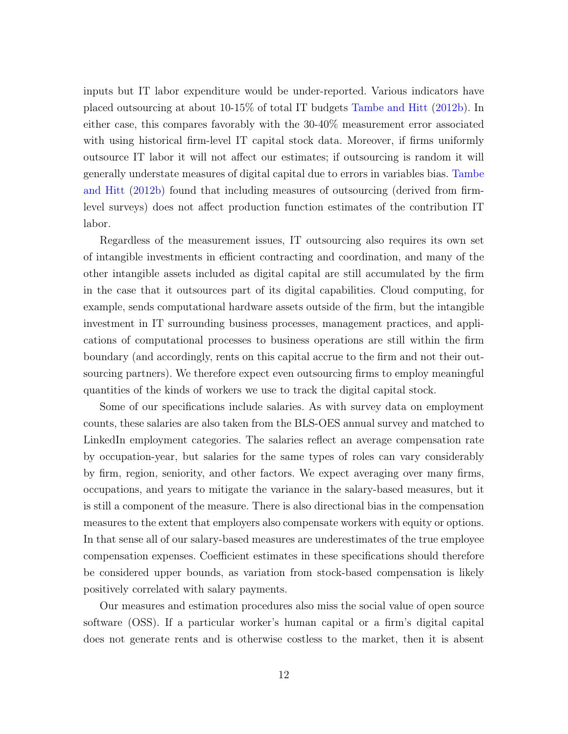inputs but IT labor expenditure would be under-reported. Various indicators have placed outsourcing at about 10-15% of total IT budgets [Tambe and Hitt](#page-29-7) [\(2012b\)](#page-29-7). In either case, this compares favorably with the 30-40% measurement error associated with using historical firm-level IT capital stock data. Moreover, if firms uniformly outsource IT labor it will not affect our estimates; if outsourcing is random it will generally understate measures of digital capital due to errors in variables bias. [Tambe](#page-29-7) [and Hitt](#page-29-7) [\(2012b\)](#page-29-7) found that including measures of outsourcing (derived from firmlevel surveys) does not affect production function estimates of the contribution IT labor.

Regardless of the measurement issues, IT outsourcing also requires its own set of intangible investments in efficient contracting and coordination, and many of the other intangible assets included as digital capital are still accumulated by the firm in the case that it outsources part of its digital capabilities. Cloud computing, for example, sends computational hardware assets outside of the firm, but the intangible investment in IT surrounding business processes, management practices, and applications of computational processes to business operations are still within the firm boundary (and accordingly, rents on this capital accrue to the firm and not their outsourcing partners). We therefore expect even outsourcing firms to employ meaningful quantities of the kinds of workers we use to track the digital capital stock.

Some of our specifications include salaries. As with survey data on employment counts, these salaries are also taken from the BLS-OES annual survey and matched to LinkedIn employment categories. The salaries reflect an average compensation rate by occupation-year, but salaries for the same types of roles can vary considerably by firm, region, seniority, and other factors. We expect averaging over many firms, occupations, and years to mitigate the variance in the salary-based measures, but it is still a component of the measure. There is also directional bias in the compensation measures to the extent that employers also compensate workers with equity or options. In that sense all of our salary-based measures are underestimates of the true employee compensation expenses. Coefficient estimates in these specifications should therefore be considered upper bounds, as variation from stock-based compensation is likely positively correlated with salary payments.

Our measures and estimation procedures also miss the social value of open source software (OSS). If a particular worker's human capital or a firm's digital capital does not generate rents and is otherwise costless to the market, then it is absent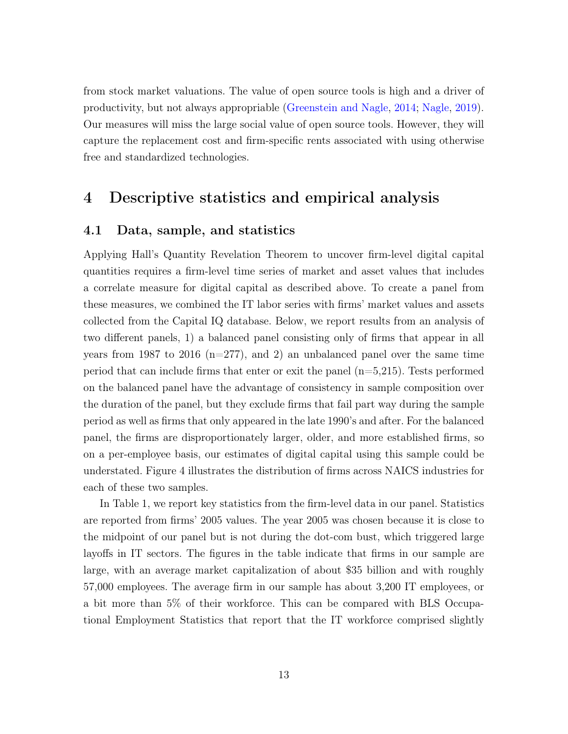from stock market valuations. The value of open source tools is high and a driver of productivity, but not always appropriable [\(Greenstein and Nagle,](#page-28-6) [2014;](#page-28-6) [Nagle,](#page-29-10) [2019\)](#page-29-10). Our measures will miss the large social value of open source tools. However, they will capture the replacement cost and firm-specific rents associated with using otherwise free and standardized technologies.

## 4 Descriptive statistics and empirical analysis

### 4.1 Data, sample, and statistics

Applying Hall's Quantity Revelation Theorem to uncover firm-level digital capital quantities requires a firm-level time series of market and asset values that includes a correlate measure for digital capital as described above. To create a panel from these measures, we combined the IT labor series with firms' market values and assets collected from the Capital IQ database. Below, we report results from an analysis of two different panels, 1) a balanced panel consisting only of firms that appear in all years from 1987 to 2016 (n=277), and 2) an unbalanced panel over the same time period that can include firms that enter or exit the panel  $(n=5,215)$ . Tests performed on the balanced panel have the advantage of consistency in sample composition over the duration of the panel, but they exclude firms that fail part way during the sample period as well as firms that only appeared in the late 1990's and after. For the balanced panel, the firms are disproportionately larger, older, and more established firms, so on a per-employee basis, our estimates of digital capital using this sample could be understated. Figure [4](#page-32-0) illustrates the distribution of firms across NAICS industries for each of these two samples.

In Table [1,](#page-32-1) we report key statistics from the firm-level data in our panel. Statistics are reported from firms' 2005 values. The year 2005 was chosen because it is close to the midpoint of our panel but is not during the dot-com bust, which triggered large layoffs in IT sectors. The figures in the table indicate that firms in our sample are large, with an average market capitalization of about \$35 billion and with roughly 57,000 employees. The average firm in our sample has about 3,200 IT employees, or a bit more than 5% of their workforce. This can be compared with BLS Occupational Employment Statistics that report that the IT workforce comprised slightly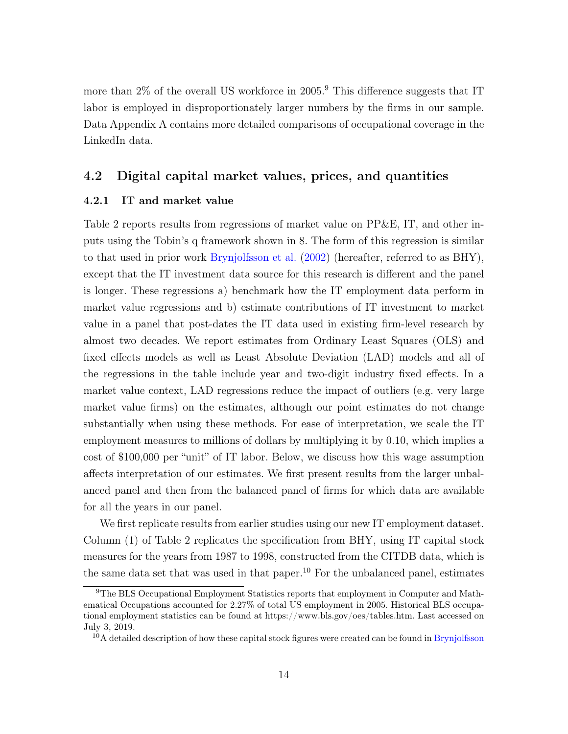more than 2% of the overall US workforce in 2005.<sup>[9](#page-0-0)</sup> This difference suggests that IT labor is employed in disproportionately larger numbers by the firms in our sample. Data Appendix [A](#page-45-0) contains more detailed comparisons of occupational coverage in the LinkedIn data.

### 4.2 Digital capital market values, prices, and quantities

#### 4.2.1 IT and market value

Table [2](#page-33-0) reports results from regressions of market value on PP&E, IT, and other inputs using the Tobin's q framework shown in [8.](#page-8-0) The form of this regression is similar to that used in prior work [Brynjolfsson et al.](#page-27-3) [\(2002\)](#page-27-3) (hereafter, referred to as BHY), except that the IT investment data source for this research is different and the panel is longer. These regressions a) benchmark how the IT employment data perform in market value regressions and b) estimate contributions of IT investment to market value in a panel that post-dates the IT data used in existing firm-level research by almost two decades. We report estimates from Ordinary Least Squares (OLS) and fixed effects models as well as Least Absolute Deviation (LAD) models and all of the regressions in the table include year and two-digit industry fixed effects. In a market value context, LAD regressions reduce the impact of outliers (e.g. very large market value firms) on the estimates, although our point estimates do not change substantially when using these methods. For ease of interpretation, we scale the IT employment measures to millions of dollars by multiplying it by 0.10, which implies a cost of \$100,000 per "unit" of IT labor. Below, we discuss how this wage assumption affects interpretation of our estimates. We first present results from the larger unbalanced panel and then from the balanced panel of firms for which data are available for all the years in our panel.

We first replicate results from earlier studies using our new IT employment dataset. Column (1) of Table [2](#page-33-0) replicates the specification from BHY, using IT capital stock measures for the years from 1987 to 1998, constructed from the CITDB data, which is the same data set that was used in that paper.<sup>[10](#page-0-0)</sup> For the unbalanced panel, estimates

<sup>9</sup>The BLS Occupational Employment Statistics reports that employment in Computer and Mathematical Occupations accounted for 2.27% of total US employment in 2005. Historical BLS occupational employment statistics can be found at https://www.bls.gov/oes/tables.htm. Last accessed on July 3, 2019.

<sup>&</sup>lt;sup>10</sup>A detailed description of how these capital stock figures were created can be found in [Brynjolfsson](#page-27-3)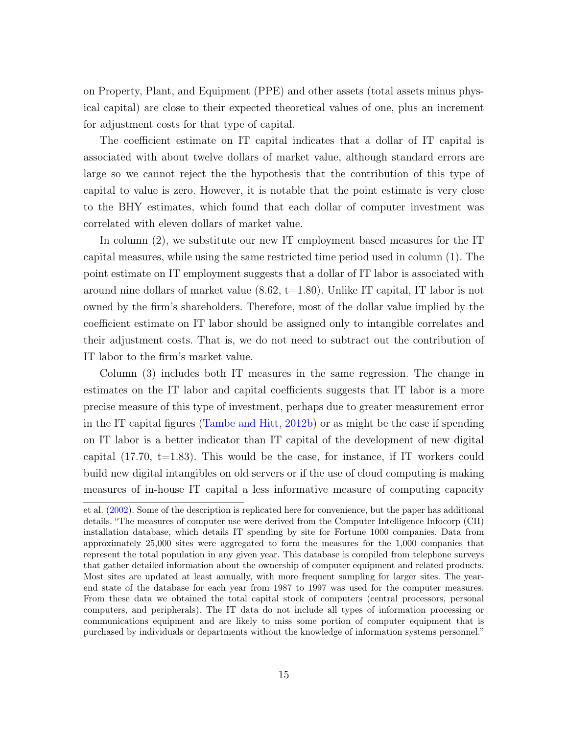[on Property, Plant, and Equipment \(PPE\) and other assets \(total assets minus phys](#page-27-3)[ical capital\) are close to their expected theoretical values of one, plus an increment](#page-27-3) [for adjustment costs for that type of capital.](#page-27-3)

[The coefficient estimate on IT capital indicates that a dollar of IT capital is](#page-27-3) [associated with about twelve dollars of market value, although standard errors are](#page-27-3) [large so we cannot reject the the hypothesis that the contribution of this type of](#page-27-3) [capital to value is zero. However, it is notable that the point estimate is very close](#page-27-3) [to the BHY estimates, which found that each dollar of computer investment was](#page-27-3) [correlated with eleven dollars of market value.](#page-27-3)

[In column \(2\), we substitute our new IT employment based measures for the IT](#page-27-3) [capital measures, while using the same restricted time period used in column \(1\). The](#page-27-3) [point estimate on IT employment suggests that a dollar of IT labor is associated with](#page-27-3) around nine dollars of market value  $(8.62, t=1.80)$ . Unlike IT capital, IT labor is not [owned by the firm's shareholders. Therefore, most of the dollar value implied by the](#page-27-3) [coefficient estimate on IT labor should be assigned only to intangible correlates and](#page-27-3) [their adjustment costs. That is, we do not need to subtract out the contribution of](#page-27-3) [IT labor to the firm's market value.](#page-27-3)

[Column \(3\) includes both IT measures in the same regression. The change in](#page-27-3) [estimates on the IT labor and capital coefficients suggests that IT labor is a more](#page-27-3) [precise measure of this type of investment, perhaps due to greater measurement error](#page-27-3) in the IT capital figures [\(Tambe and Hitt,](#page-29-7) [2012b\) or as might be the case if spending](#page-27-3) [on IT labor is a better indicator than IT capital of the development of new digital](#page-27-3) capital  $(17.70, t=1.83)$ . This would be the case, for instance, if IT workers could [build new digital intangibles on old servers or if the use of cloud computing is making](#page-27-3) [measures of in-house IT capital a less informative measure of computing capacity](#page-27-3)

[et al.](#page-27-3) [\(2002\)](#page-27-3). Some of the description is replicated here for convenience, but the paper has additional details. "The measures of computer use were derived from the Computer Intelligence Infocorp (CII) installation database, which details IT spending by site for Fortune 1000 companies. Data from approximately 25,000 sites were aggregated to form the measures for the 1,000 companies that represent the total population in any given year. This database is compiled from telephone surveys that gather detailed information about the ownership of computer equipment and related products. Most sites are updated at least annually, with more frequent sampling for larger sites. The yearend state of the database for each year from 1987 to 1997 was used for the computer measures. From these data we obtained the total capital stock of computers (central processors, personal computers, and peripherals). The IT data do not include all types of information processing or communications equipment and are likely to miss some portion of computer equipment that is purchased by individuals or departments without the knowledge of information systems personnel."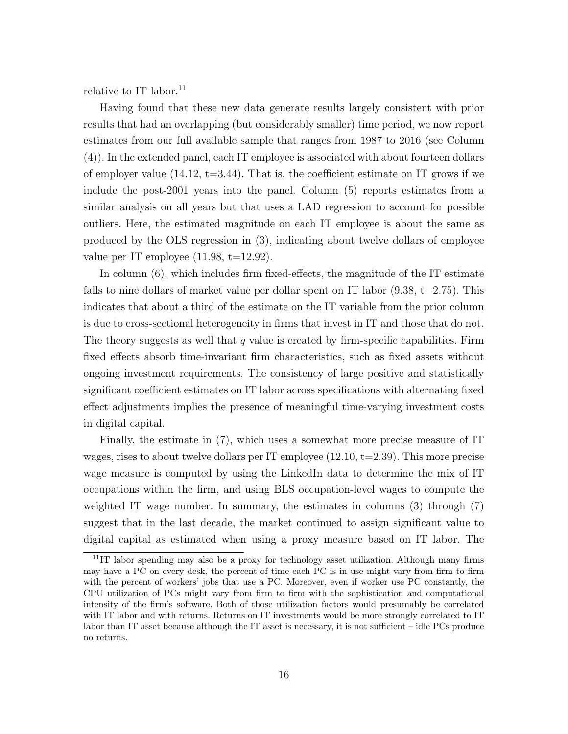relative to IT labor.<sup>[11](#page-0-0)</sup>

Having found that these new data generate results largely consistent with prior results that had an overlapping (but considerably smaller) time period, we now report estimates from our full available sample that ranges from 1987 to 2016 (see Column (4)). In the extended panel, each IT employee is associated with about fourteen dollars of employer value  $(14.12, t=3.44)$ . That is, the coefficient estimate on IT grows if we include the post-2001 years into the panel. Column (5) reports estimates from a similar analysis on all years but that uses a LAD regression to account for possible outliers. Here, the estimated magnitude on each IT employee is about the same as produced by the OLS regression in (3), indicating about twelve dollars of employee value per IT employee  $(11.98, t=12.92)$ .

In column (6), which includes firm fixed-effects, the magnitude of the IT estimate falls to nine dollars of market value per dollar spent on IT labor  $(9.38, t=2.75)$ . This indicates that about a third of the estimate on the IT variable from the prior column is due to cross-sectional heterogeneity in firms that invest in IT and those that do not. The theory suggests as well that  $q$  value is created by firm-specific capabilities. Firm fixed effects absorb time-invariant firm characteristics, such as fixed assets without ongoing investment requirements. The consistency of large positive and statistically significant coefficient estimates on IT labor across specifications with alternating fixed effect adjustments implies the presence of meaningful time-varying investment costs in digital capital.

Finally, the estimate in (7), which uses a somewhat more precise measure of IT wages, rises to about twelve dollars per IT employee  $(12.10, t=2.39)$ . This more precise wage measure is computed by using the LinkedIn data to determine the mix of IT occupations within the firm, and using BLS occupation-level wages to compute the weighted IT wage number. In summary, the estimates in columns (3) through (7) suggest that in the last decade, the market continued to assign significant value to digital capital as estimated when using a proxy measure based on IT labor. The

 $11$ IT labor spending may also be a proxy for technology asset utilization. Although many firms may have a PC on every desk, the percent of time each PC is in use might vary from firm to firm with the percent of workers' jobs that use a PC. Moreover, even if worker use PC constantly, the CPU utilization of PCs might vary from firm to firm with the sophistication and computational intensity of the firm's software. Both of those utilization factors would presumably be correlated with IT labor and with returns. Returns on IT investments would be more strongly correlated to IT labor than IT asset because although the IT asset is necessary, it is not sufficient – idle PCs produce no returns.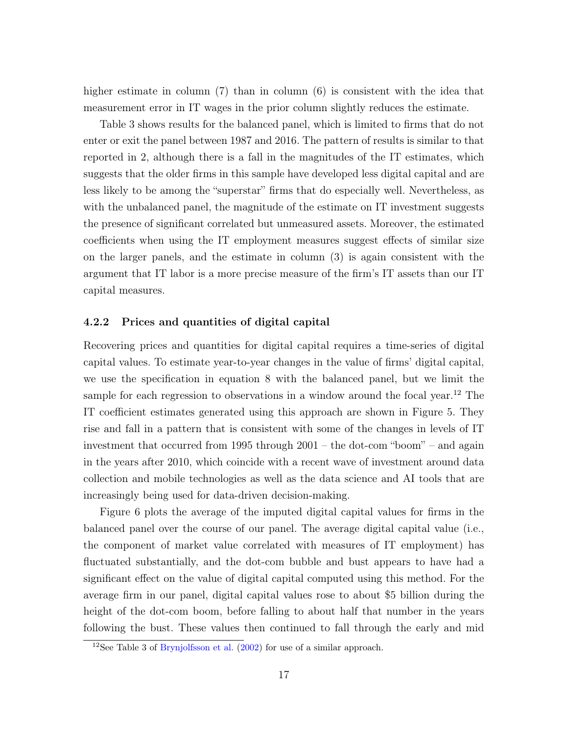higher estimate in column (7) than in column (6) is consistent with the idea that measurement error in IT wages in the prior column slightly reduces the estimate.

Table [3](#page-34-0) shows results for the balanced panel, which is limited to firms that do not enter or exit the panel between 1987 and 2016. The pattern of results is similar to that reported in [2,](#page-33-0) although there is a fall in the magnitudes of the IT estimates, which suggests that the older firms in this sample have developed less digital capital and are less likely to be among the "superstar" firms that do especially well. Nevertheless, as with the unbalanced panel, the magnitude of the estimate on IT investment suggests the presence of significant correlated but unmeasured assets. Moreover, the estimated coefficients when using the IT employment measures suggest effects of similar size on the larger panels, and the estimate in column (3) is again consistent with the argument that IT labor is a more precise measure of the firm's IT assets than our IT capital measures.

#### 4.2.2 Prices and quantities of digital capital

Recovering prices and quantities for digital capital requires a time-series of digital capital values. To estimate year-to-year changes in the value of firms' digital capital, we use the specification in equation [8](#page-8-0) with the balanced panel, but we limit the sample for each regression to observations in a window around the focal year.<sup>[12](#page-0-0)</sup> The IT coefficient estimates generated using this approach are shown in Figure [5.](#page-35-0) They rise and fall in a pattern that is consistent with some of the changes in levels of IT investment that occurred from 1995 through 2001 – the dot-com "boom" – and again in the years after 2010, which coincide with a recent wave of investment around data collection and mobile technologies as well as the data science and AI tools that are increasingly being used for data-driven decision-making.

Figure [6](#page-35-1) plots the average of the imputed digital capital values for firms in the balanced panel over the course of our panel. The average digital capital value (i.e., the component of market value correlated with measures of IT employment) has fluctuated substantially, and the dot-com bubble and bust appears to have had a significant effect on the value of digital capital computed using this method. For the average firm in our panel, digital capital values rose to about \$5 billion during the height of the dot-com boom, before falling to about half that number in the years following the bust. These values then continued to fall through the early and mid

<sup>12</sup>See Table 3 of [Brynjolfsson et al.](#page-27-3) [\(2002\)](#page-27-3) for use of a similar approach.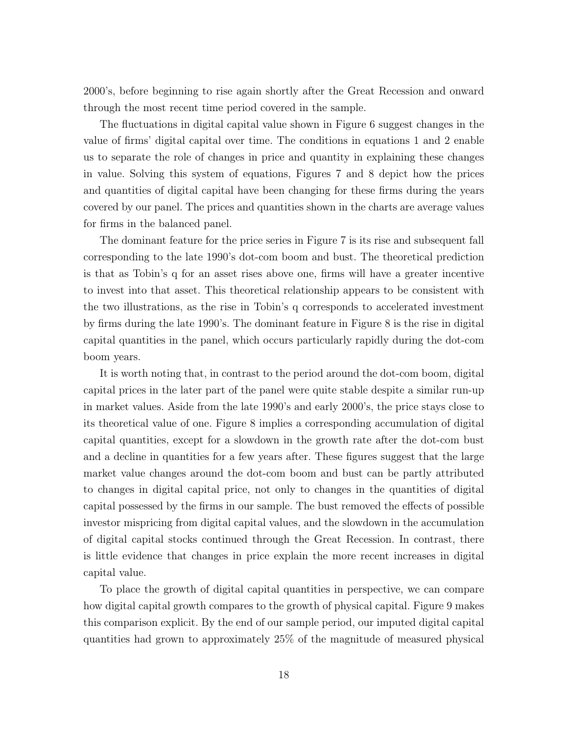2000's, before beginning to rise again shortly after the Great Recession and onward through the most recent time period covered in the sample.

The fluctuations in digital capital value shown in Figure [6](#page-35-1) suggest changes in the value of firms' digital capital over time. The conditions in equations [1](#page-6-0) and [2](#page-6-1) enable us to separate the role of changes in price and quantity in explaining these changes in value. Solving this system of equations, Figures [7](#page-36-0) and [8](#page-36-1) depict how the prices and quantities of digital capital have been changing for these firms during the years covered by our panel. The prices and quantities shown in the charts are average values for firms in the balanced panel.

The dominant feature for the price series in Figure [7](#page-36-0) is its rise and subsequent fall corresponding to the late 1990's dot-com boom and bust. The theoretical prediction is that as Tobin's q for an asset rises above one, firms will have a greater incentive to invest into that asset. This theoretical relationship appears to be consistent with the two illustrations, as the rise in Tobin's q corresponds to accelerated investment by firms during the late 1990's. The dominant feature in Figure [8](#page-36-1) is the rise in digital capital quantities in the panel, which occurs particularly rapidly during the dot-com boom years.

It is worth noting that, in contrast to the period around the dot-com boom, digital capital prices in the later part of the panel were quite stable despite a similar run-up in market values. Aside from the late 1990's and early 2000's, the price stays close to its theoretical value of one. Figure [8](#page-36-1) implies a corresponding accumulation of digital capital quantities, except for a slowdown in the growth rate after the dot-com bust and a decline in quantities for a few years after. These figures suggest that the large market value changes around the dot-com boom and bust can be partly attributed to changes in digital capital price, not only to changes in the quantities of digital capital possessed by the firms in our sample. The bust removed the effects of possible investor mispricing from digital capital values, and the slowdown in the accumulation of digital capital stocks continued through the Great Recession. In contrast, there is little evidence that changes in price explain the more recent increases in digital capital value.

To place the growth of digital capital quantities in perspective, we can compare how digital capital growth compares to the growth of physical capital. Figure [9](#page-37-0) makes this comparison explicit. By the end of our sample period, our imputed digital capital quantities had grown to approximately 25% of the magnitude of measured physical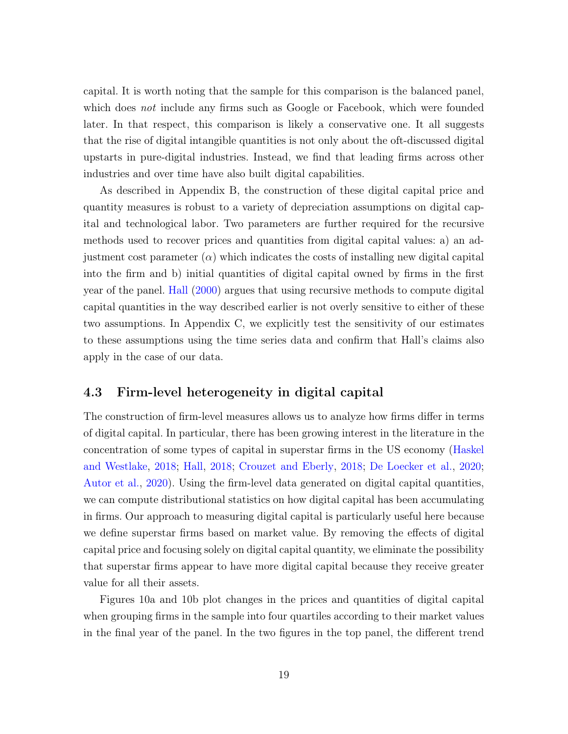capital. It is worth noting that the sample for this comparison is the balanced panel, which does *not* include any firms such as Google or Facebook, which were founded later. In that respect, this comparison is likely a conservative one. It all suggests that the rise of digital intangible quantities is not only about the oft-discussed digital upstarts in pure-digital industries. Instead, we find that leading firms across other industries and over time have also built digital capabilities.

As described in Appendix [B,](#page-56-0) the construction of these digital capital price and quantity measures is robust to a variety of depreciation assumptions on digital capital and technological labor. Two parameters are further required for the recursive methods used to recover prices and quantities from digital capital values: a) an adjustment cost parameter  $(\alpha)$  which indicates the costs of installing new digital capital into the firm and b) initial quantities of digital capital owned by firms in the first year of the panel. [Hall](#page-28-14) [\(2000\)](#page-28-14) argues that using recursive methods to compute digital capital quantities in the way described earlier is not overly sensitive to either of these two assumptions. In Appendix [C,](#page-59-0) we explicitly test the sensitivity of our estimates to these assumptions using the time series data and confirm that Hall's claims also apply in the case of our data.

### 4.3 Firm-level heterogeneity in digital capital

The construction of firm-level measures allows us to analyze how firms differ in terms of digital capital. In particular, there has been growing interest in the literature in the concentration of some types of capital in superstar firms in the US economy [\(Haskel](#page-28-5) [and Westlake,](#page-28-5) [2018;](#page-28-5) [Hall,](#page-28-0) [2018;](#page-28-0) [Crouzet and Eberly,](#page-27-1) [2018;](#page-27-1) [De Loecker et al.,](#page-27-0) [2020;](#page-27-0) [Autor et al.,](#page-26-0) [2020\)](#page-26-0). Using the firm-level data generated on digital capital quantities, we can compute distributional statistics on how digital capital has been accumulating in firms. Our approach to measuring digital capital is particularly useful here because we define superstar firms based on market value. By removing the effects of digital capital price and focusing solely on digital capital quantity, we eliminate the possibility that superstar firms appear to have more digital capital because they receive greater value for all their assets.

Figures [10a](#page-38-0) and [10b](#page-38-0) plot changes in the prices and quantities of digital capital when grouping firms in the sample into four quartiles according to their market values in the final year of the panel. In the two figures in the top panel, the different trend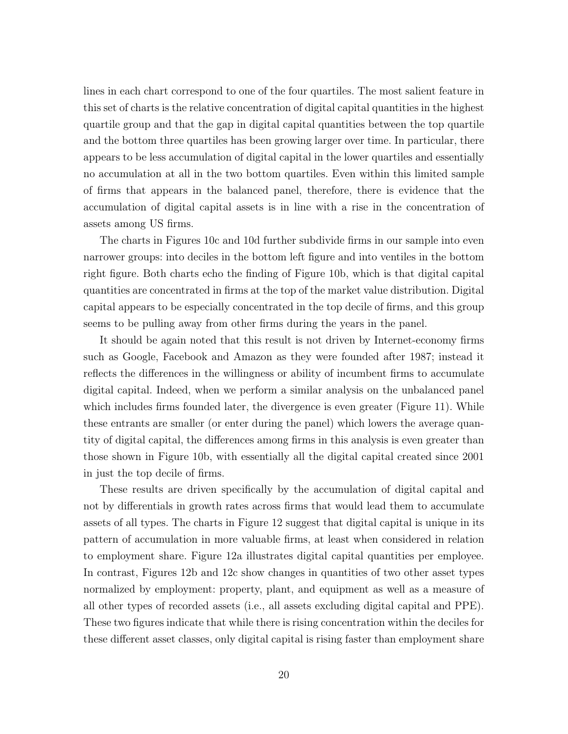lines in each chart correspond to one of the four quartiles. The most salient feature in this set of charts is the relative concentration of digital capital quantities in the highest quartile group and that the gap in digital capital quantities between the top quartile and the bottom three quartiles has been growing larger over time. In particular, there appears to be less accumulation of digital capital in the lower quartiles and essentially no accumulation at all in the two bottom quartiles. Even within this limited sample of firms that appears in the balanced panel, therefore, there is evidence that the accumulation of digital capital assets is in line with a rise in the concentration of assets among US firms.

The charts in Figures [10c](#page-38-0) and [10d](#page-38-0) further subdivide firms in our sample into even narrower groups: into deciles in the bottom left figure and into ventiles in the bottom right figure. Both charts echo the finding of Figure [10b,](#page-38-0) which is that digital capital quantities are concentrated in firms at the top of the market value distribution. Digital capital appears to be especially concentrated in the top decile of firms, and this group seems to be pulling away from other firms during the years in the panel.

It should be again noted that this result is not driven by Internet-economy firms such as Google, Facebook and Amazon as they were founded after 1987; instead it reflects the differences in the willingness or ability of incumbent firms to accumulate digital capital. Indeed, when we perform a similar analysis on the unbalanced panel which includes firms founded later, the divergence is even greater (Figure [11\)](#page-39-0). While these entrants are smaller (or enter during the panel) which lowers the average quantity of digital capital, the differences among firms in this analysis is even greater than those shown in Figure [10b,](#page-38-0) with essentially all the digital capital created since 2001 in just the top decile of firms.

These results are driven specifically by the accumulation of digital capital and not by differentials in growth rates across firms that would lead them to accumulate assets of all types. The charts in Figure [12](#page-40-0) suggest that digital capital is unique in its pattern of accumulation in more valuable firms, at least when considered in relation to employment share. Figure [12a](#page-40-0) illustrates digital capital quantities per employee. In contrast, Figures [12b](#page-40-0) and [12c](#page-40-0) show changes in quantities of two other asset types normalized by employment: property, plant, and equipment as well as a measure of all other types of recorded assets (i.e., all assets excluding digital capital and PPE). These two figures indicate that while there is rising concentration within the deciles for these different asset classes, only digital capital is rising faster than employment share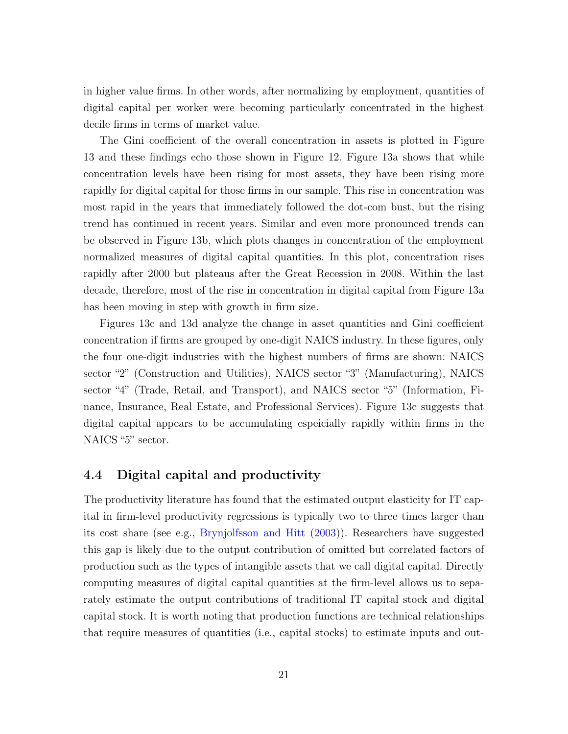in higher value firms. In other words, after normalizing by employment, quantities of digital capital per worker were becoming particularly concentrated in the highest decile firms in terms of market value.

The Gini coefficient of the overall concentration in assets is plotted in Figure [13](#page-41-0) and these findings echo those shown in Figure [12.](#page-40-0) Figure [13a](#page-41-0) shows that while concentration levels have been rising for most assets, they have been rising more rapidly for digital capital for those firms in our sample. This rise in concentration was most rapid in the years that immediately followed the dot-com bust, but the rising trend has continued in recent years. Similar and even more pronounced trends can be observed in Figure [13b,](#page-41-0) which plots changes in concentration of the employment normalized measures of digital capital quantities. In this plot, concentration rises rapidly after 2000 but plateaus after the Great Recession in 2008. Within the last decade, therefore, most of the rise in concentration in digital capital from Figure [13a](#page-41-0) has been moving in step with growth in firm size.

Figures [13c](#page-41-0) and [13d](#page-41-0) analyze the change in asset quantities and Gini coefficient concentration if firms are grouped by one-digit NAICS industry. In these figures, only the four one-digit industries with the highest numbers of firms are shown: NAICS sector "2" (Construction and Utilities), NAICS sector "3" (Manufacturing), NAICS sector "4" (Trade, Retail, and Transport), and NAICS sector "5" (Information, Finance, Insurance, Real Estate, and Professional Services). Figure [13c](#page-41-0) suggests that digital capital appears to be accumulating espeicially rapidly within firms in the NAICS "5" sector.

### 4.4 Digital capital and productivity

The productivity literature has found that the estimated output elasticity for IT capital in firm-level productivity regressions is typically two to three times larger than its cost share (see e.g., [Brynjolfsson and Hitt](#page-27-12) [\(2003\)](#page-27-12)). Researchers have suggested this gap is likely due to the output contribution of omitted but correlated factors of production such as the types of intangible assets that we call digital capital. Directly computing measures of digital capital quantities at the firm-level allows us to separately estimate the output contributions of traditional IT capital stock and digital capital stock. It is worth noting that production functions are technical relationships that require measures of quantities (i.e., capital stocks) to estimate inputs and out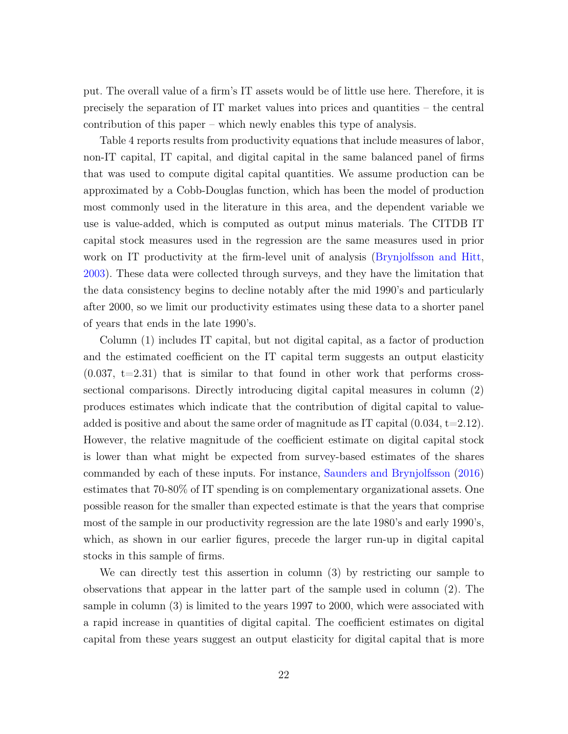put. The overall value of a firm's IT assets would be of little use here. Therefore, it is precisely the separation of IT market values into prices and quantities – the central contribution of this paper – which newly enables this type of analysis.

Table [4](#page-42-0) reports results from productivity equations that include measures of labor, non-IT capital, IT capital, and digital capital in the same balanced panel of firms that was used to compute digital capital quantities. We assume production can be approximated by a Cobb-Douglas function, which has been the model of production most commonly used in the literature in this area, and the dependent variable we use is value-added, which is computed as output minus materials. The CITDB IT capital stock measures used in the regression are the same measures used in prior work on IT productivity at the firm-level unit of analysis [\(Brynjolfsson and Hitt,](#page-27-12) [2003\)](#page-27-12). These data were collected through surveys, and they have the limitation that the data consistency begins to decline notably after the mid 1990's and particularly after 2000, so we limit our productivity estimates using these data to a shorter panel of years that ends in the late 1990's.

Column (1) includes IT capital, but not digital capital, as a factor of production and the estimated coefficient on the IT capital term suggests an output elasticity  $(0.037, t=2.31)$  that is similar to that found in other work that performs crosssectional comparisons. Directly introducing digital capital measures in column (2) produces estimates which indicate that the contribution of digital capital to valueadded is positive and about the same order of magnitude as IT capital  $(0.034, t=2.12)$ . However, the relative magnitude of the coefficient estimate on digital capital stock is lower than what might be expected from survey-based estimates of the shares commanded by each of these inputs. For instance, [Saunders and Brynjolfsson](#page-29-11) [\(2016\)](#page-29-11) estimates that 70-80% of IT spending is on complementary organizational assets. One possible reason for the smaller than expected estimate is that the years that comprise most of the sample in our productivity regression are the late 1980's and early 1990's, which, as shown in our earlier figures, precede the larger run-up in digital capital stocks in this sample of firms.

We can directly test this assertion in column (3) by restricting our sample to observations that appear in the latter part of the sample used in column (2). The sample in column (3) is limited to the years 1997 to 2000, which were associated with a rapid increase in quantities of digital capital. The coefficient estimates on digital capital from these years suggest an output elasticity for digital capital that is more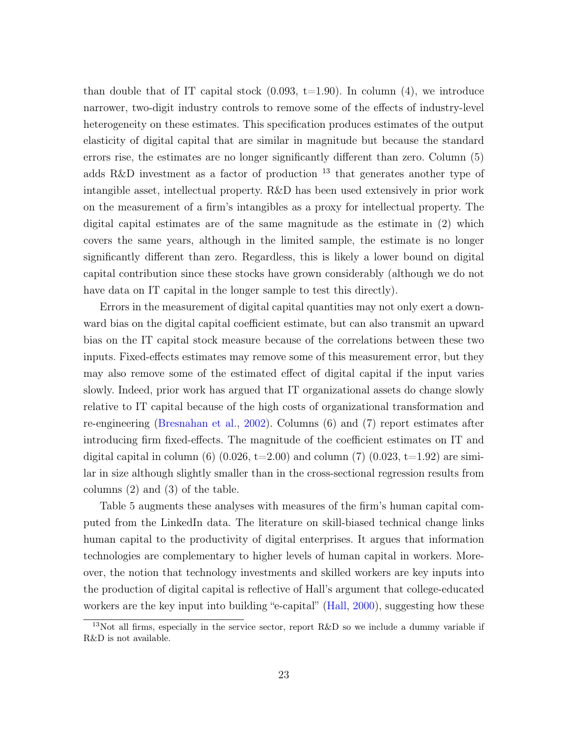than double that of IT capital stock  $(0.093, t=1.90)$ . In column  $(4)$ , we introduce narrower, two-digit industry controls to remove some of the effects of industry-level heterogeneity on these estimates. This specification produces estimates of the output elasticity of digital capital that are similar in magnitude but because the standard errors rise, the estimates are no longer significantly different than zero. Column (5) adds R&D investment as a factor of production  $^{13}$  $^{13}$  $^{13}$  that generates another type of intangible asset, intellectual property. R&D has been used extensively in prior work on the measurement of a firm's intangibles as a proxy for intellectual property. The digital capital estimates are of the same magnitude as the estimate in (2) which covers the same years, although in the limited sample, the estimate is no longer significantly different than zero. Regardless, this is likely a lower bound on digital capital contribution since these stocks have grown considerably (although we do not have data on IT capital in the longer sample to test this directly).

Errors in the measurement of digital capital quantities may not only exert a downward bias on the digital capital coefficient estimate, but can also transmit an upward bias on the IT capital stock measure because of the correlations between these two inputs. Fixed-effects estimates may remove some of this measurement error, but they may also remove some of the estimated effect of digital capital if the input varies slowly. Indeed, prior work has argued that IT organizational assets do change slowly relative to IT capital because of the high costs of organizational transformation and re-engineering [\(Bresnahan et al.,](#page-26-5) [2002\)](#page-26-5). Columns (6) and (7) report estimates after introducing firm fixed-effects. The magnitude of the coefficient estimates on IT and digital capital in column (6)  $(0.026, t=2.00)$  and column (7)  $(0.023, t=1.92)$  are similar in size although slightly smaller than in the cross-sectional regression results from columns (2) and (3) of the table.

Table [5](#page-43-0) augments these analyses with measures of the firm's human capital computed from the LinkedIn data. The literature on skill-biased technical change links human capital to the productivity of digital enterprises. It argues that information technologies are complementary to higher levels of human capital in workers. Moreover, the notion that technology investments and skilled workers are key inputs into the production of digital capital is reflective of Hall's argument that college-educated workers are the key input into building "e-capital" [\(Hall,](#page-28-14) [2000\)](#page-28-14), suggesting how these

<sup>&</sup>lt;sup>13</sup>Not all firms, especially in the service sector, report R&D so we include a dummy variable if R&D is not available.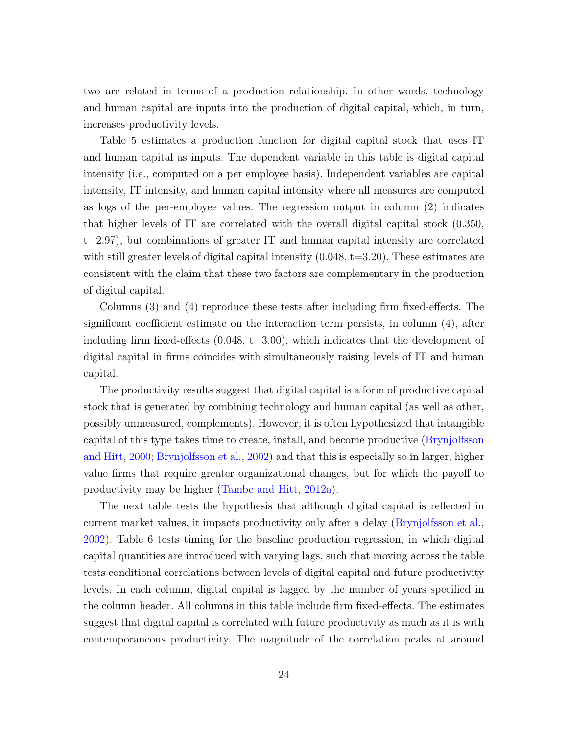two are related in terms of a production relationship. In other words, technology and human capital are inputs into the production of digital capital, which, in turn, increases productivity levels.

Table [5](#page-43-0) estimates a production function for digital capital stock that uses IT and human capital as inputs. The dependent variable in this table is digital capital intensity (i.e., computed on a per employee basis). Independent variables are capital intensity, IT intensity, and human capital intensity where all measures are computed as logs of the per-employee values. The regression output in column (2) indicates that higher levels of IT are correlated with the overall digital capital stock (0.350, t=2.97), but combinations of greater IT and human capital intensity are correlated with still greater levels of digital capital intensity  $(0.048, t=3.20)$ . These estimates are consistent with the claim that these two factors are complementary in the production of digital capital.

Columns (3) and (4) reproduce these tests after including firm fixed-effects. The significant coefficient estimate on the interaction term persists, in column (4), after including firm fixed-effects  $(0.048, t=3.00)$ , which indicates that the development of digital capital in firms coincides with simultaneously raising levels of IT and human capital.

The productivity results suggest that digital capital is a form of productive capital stock that is generated by combining technology and human capital (as well as other, possibly unmeasured, complements). However, it is often hypothesized that intangible capital of this type takes time to create, install, and become productive [\(Brynjolfsson](#page-26-10) [and Hitt,](#page-26-10) [2000;](#page-26-10) [Brynjolfsson et al.,](#page-27-3) [2002\)](#page-27-3) and that this is especially so in larger, higher value firms that require greater organizational changes, but for which the payoff to productivity may be higher [\(Tambe and Hitt,](#page-29-9) [2012a\)](#page-29-9).

The next table tests the hypothesis that although digital capital is reflected in current market values, it impacts productivity only after a delay [\(Brynjolfsson et al.,](#page-27-3) [2002\)](#page-27-3). Table [6](#page-44-0) tests timing for the baseline production regression, in which digital capital quantities are introduced with varying lags, such that moving across the table tests conditional correlations between levels of digital capital and future productivity levels. In each column, digital capital is lagged by the number of years specified in the column header. All columns in this table include firm fixed-effects. The estimates suggest that digital capital is correlated with future productivity as much as it is with contemporaneous productivity. The magnitude of the correlation peaks at around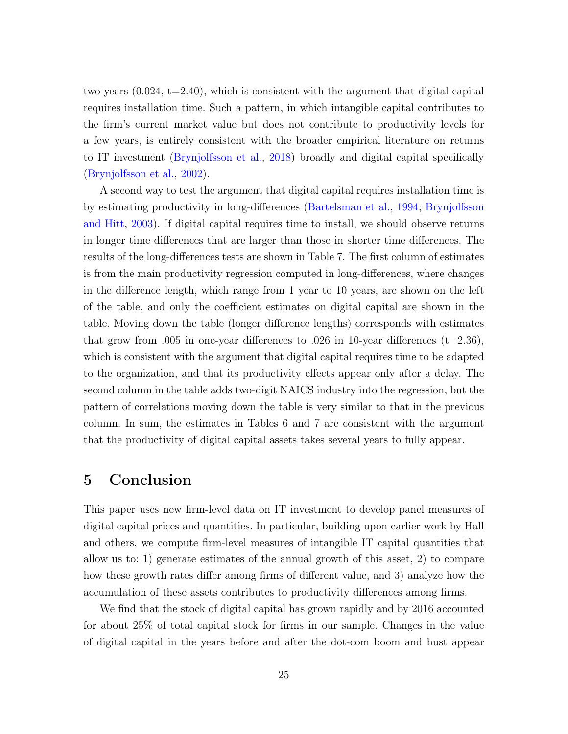two years  $(0.024, t=2.40)$ , which is consistent with the argument that digital capital requires installation time. Such a pattern, in which intangible capital contributes to the firm's current market value but does not contribute to productivity levels for a few years, is entirely consistent with the broader empirical literature on returns to IT investment [\(Brynjolfsson et al.,](#page-27-8) [2018\)](#page-27-8) broadly and digital capital specifically [\(Brynjolfsson et al.,](#page-27-3) [2002\)](#page-27-3).

A second way to test the argument that digital capital requires installation time is by estimating productivity in long-differences [\(Bartelsman et al.,](#page-26-11) [1994;](#page-26-11) [Brynjolfsson](#page-27-12) [and Hitt,](#page-27-12) [2003\)](#page-27-12). If digital capital requires time to install, we should observe returns in longer time differences that are larger than those in shorter time differences. The results of the long-differences tests are shown in Table [7.](#page-46-0) The first column of estimates is from the main productivity regression computed in long-differences, where changes in the difference length, which range from 1 year to 10 years, are shown on the left of the table, and only the coefficient estimates on digital capital are shown in the table. Moving down the table (longer difference lengths) corresponds with estimates that grow from .005 in one-year differences to .026 in 10-year differences  $(t=2.36)$ , which is consistent with the argument that digital capital requires time to be adapted to the organization, and that its productivity effects appear only after a delay. The second column in the table adds two-digit NAICS industry into the regression, but the pattern of correlations moving down the table is very similar to that in the previous column. In sum, the estimates in Tables [6](#page-44-0) and [7](#page-46-0) are consistent with the argument that the productivity of digital capital assets takes several years to fully appear.

## 5 Conclusion

This paper uses new firm-level data on IT investment to develop panel measures of digital capital prices and quantities. In particular, building upon earlier work by Hall and others, we compute firm-level measures of intangible IT capital quantities that allow us to: 1) generate estimates of the annual growth of this asset, 2) to compare how these growth rates differ among firms of different value, and 3) analyze how the accumulation of these assets contributes to productivity differences among firms.

We find that the stock of digital capital has grown rapidly and by 2016 accounted for about 25% of total capital stock for firms in our sample. Changes in the value of digital capital in the years before and after the dot-com boom and bust appear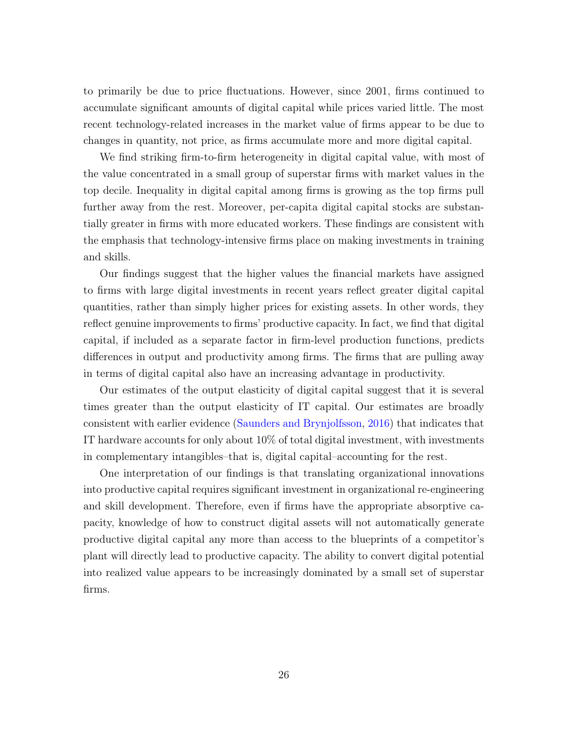to primarily be due to price fluctuations. However, since 2001, firms continued to accumulate significant amounts of digital capital while prices varied little. The most recent technology-related increases in the market value of firms appear to be due to changes in quantity, not price, as firms accumulate more and more digital capital.

We find striking firm-to-firm heterogeneity in digital capital value, with most of the value concentrated in a small group of superstar firms with market values in the top decile. Inequality in digital capital among firms is growing as the top firms pull further away from the rest. Moreover, per-capita digital capital stocks are substantially greater in firms with more educated workers. These findings are consistent with the emphasis that technology-intensive firms place on making investments in training and skills.

Our findings suggest that the higher values the financial markets have assigned to firms with large digital investments in recent years reflect greater digital capital quantities, rather than simply higher prices for existing assets. In other words, they reflect genuine improvements to firms' productive capacity. In fact, we find that digital capital, if included as a separate factor in firm-level production functions, predicts differences in output and productivity among firms. The firms that are pulling away in terms of digital capital also have an increasing advantage in productivity.

Our estimates of the output elasticity of digital capital suggest that it is several times greater than the output elasticity of IT capital. Our estimates are broadly consistent with earlier evidence [\(Saunders and Brynjolfsson,](#page-29-11) [2016\)](#page-29-11) that indicates that IT hardware accounts for only about 10% of total digital investment, with investments in complementary intangibles–that is, digital capital–accounting for the rest.

One interpretation of our findings is that translating organizational innovations into productive capital requires significant investment in organizational re-engineering and skill development. Therefore, even if firms have the appropriate absorptive capacity, knowledge of how to construct digital assets will not automatically generate productive digital capital any more than access to the blueprints of a competitor's plant will directly lead to productive capacity. The ability to convert digital potential into realized value appears to be increasingly dominated by a small set of superstar firms.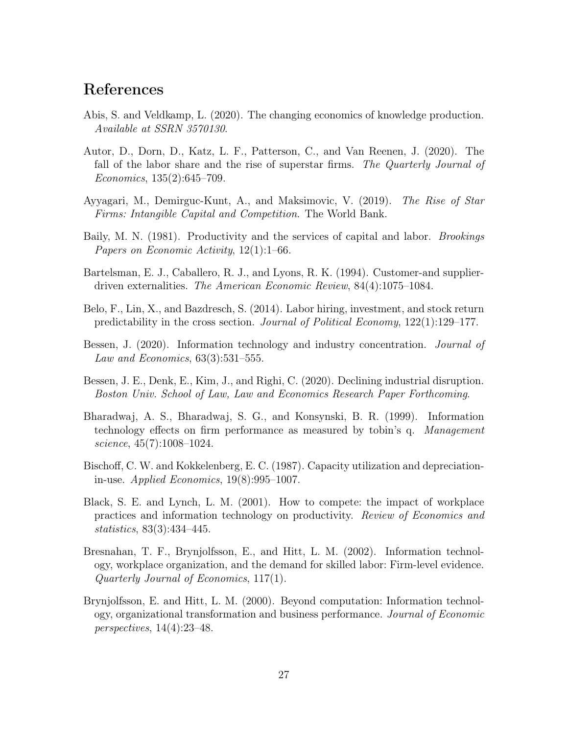# References

- <span id="page-26-6"></span>Abis, S. and Veldkamp, L. (2020). The changing economics of knowledge production. Available at SSRN 3570130.
- <span id="page-26-0"></span>Autor, D., Dorn, D., Katz, L. F., Patterson, C., and Van Reenen, J. (2020). The fall of the labor share and the rise of superstar firms. The Quarterly Journal of Economics, 135(2):645–709.
- <span id="page-26-2"></span>Ayyagari, M., Demirguc-Kunt, A., and Maksimovic, V. (2019). The Rise of Star Firms: Intangible Capital and Competition. The World Bank.
- <span id="page-26-7"></span>Baily, M. N. (1981). Productivity and the services of capital and labor. *Brookings* Papers on Economic Activity, 12(1):1–66.
- <span id="page-26-11"></span>Bartelsman, E. J., Caballero, R. J., and Lyons, R. K. (1994). Customer-and supplierdriven externalities. The American Economic Review, 84(4):1075–1084.
- <span id="page-26-9"></span>Belo, F., Lin, X., and Bazdresch, S. (2014). Labor hiring, investment, and stock return predictability in the cross section. Journal of Political Economy, 122(1):129–177.
- <span id="page-26-1"></span>Bessen, J. (2020). Information technology and industry concentration. *Journal of* Law and Economics, 63(3):531–555.
- <span id="page-26-3"></span>Bessen, J. E., Denk, E., Kim, J., and Righi, C. (2020). Declining industrial disruption. Boston Univ. School of Law, Law and Economics Research Paper Forthcoming.
- <span id="page-26-8"></span>Bharadwaj, A. S., Bharadwaj, S. G., and Konsynski, B. R. (1999). Information technology effects on firm performance as measured by tobin's q. Management science, 45(7):1008–1024.
- <span id="page-26-12"></span>Bischoff, C. W. and Kokkelenberg, E. C. (1987). Capacity utilization and depreciationin-use. Applied Economics, 19(8):995–1007.
- <span id="page-26-4"></span>Black, S. E. and Lynch, L. M. (2001). How to compete: the impact of workplace practices and information technology on productivity. Review of Economics and statistics, 83(3):434–445.
- <span id="page-26-5"></span>Bresnahan, T. F., Brynjolfsson, E., and Hitt, L. M. (2002). Information technology, workplace organization, and the demand for skilled labor: Firm-level evidence. Quarterly Journal of Economics, 117(1).
- <span id="page-26-10"></span>Brynjolfsson, E. and Hitt, L. M. (2000). Beyond computation: Information technology, organizational transformation and business performance. Journal of Economic perspectives, 14(4):23–48.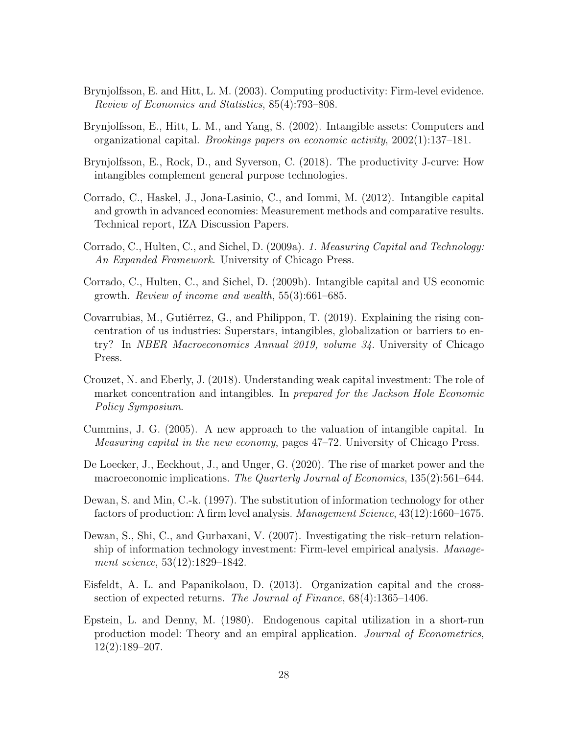- <span id="page-27-12"></span>Brynjolfsson, E. and Hitt, L. M. (2003). Computing productivity: Firm-level evidence. Review of Economics and Statistics, 85(4):793–808.
- <span id="page-27-3"></span>Brynjolfsson, E., Hitt, L. M., and Yang, S. (2002). Intangible assets: Computers and organizational capital. Brookings papers on economic activity, 2002(1):137–181.
- <span id="page-27-8"></span>Brynjolfsson, E., Rock, D., and Syverson, C. (2018). The productivity J-curve: How intangibles complement general purpose technologies.
- <span id="page-27-6"></span>Corrado, C., Haskel, J., Jona-Lasinio, C., and Iommi, M. (2012). Intangible capital and growth in advanced economies: Measurement methods and comparative results. Technical report, IZA Discussion Papers.
- <span id="page-27-4"></span>Corrado, C., Hulten, C., and Sichel, D. (2009a). 1. Measuring Capital and Technology: An Expanded Framework. University of Chicago Press.
- <span id="page-27-5"></span>Corrado, C., Hulten, C., and Sichel, D. (2009b). Intangible capital and US economic growth. Review of income and wealth, 55(3):661–685.
- <span id="page-27-2"></span>Covarrubias, M., Gutiérrez, G., and Philippon, T. (2019). Explaining the rising concentration of us industries: Superstars, intangibles, globalization or barriers to entry? In NBER Macroeconomics Annual 2019, volume 34. University of Chicago Press.
- <span id="page-27-1"></span>Crouzet, N. and Eberly, J. (2018). Understanding weak capital investment: The role of market concentration and intangibles. In prepared for the Jackson Hole Economic Policy Symposium.
- <span id="page-27-9"></span>Cummins, J. G. (2005). A new approach to the valuation of intangible capital. In Measuring capital in the new economy, pages 47–72. University of Chicago Press.
- <span id="page-27-0"></span>De Loecker, J., Eeckhout, J., and Unger, G. (2020). The rise of market power and the macroeconomic implications. The Quarterly Journal of Economics, 135(2):561–644.
- <span id="page-27-11"></span>Dewan, S. and Min, C.-k. (1997). The substitution of information technology for other factors of production: A firm level analysis. Management Science, 43(12):1660–1675.
- <span id="page-27-10"></span>Dewan, S., Shi, C., and Gurbaxani, V. (2007). Investigating the risk–return relationship of information technology investment: Firm-level empirical analysis. Management science, 53(12):1829–1842.
- <span id="page-27-7"></span>Eisfeldt, A. L. and Papanikolaou, D. (2013). Organization capital and the crosssection of expected returns. The Journal of Finance, 68(4):1365–1406.
- <span id="page-27-13"></span>Epstein, L. and Denny, M. (1980). Endogenous capital utilization in a short-run production model: Theory and an empiral application. Journal of Econometrics, 12(2):189–207.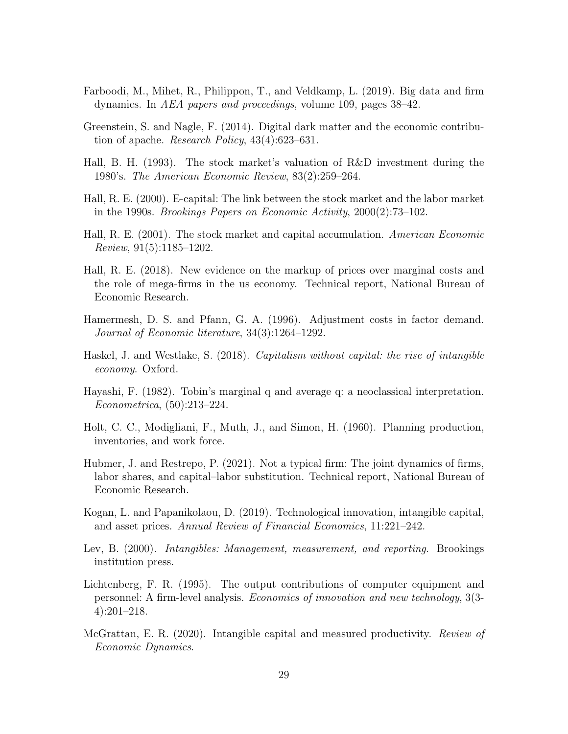- <span id="page-28-1"></span>Farboodi, M., Mihet, R., Philippon, T., and Veldkamp, L. (2019). Big data and firm dynamics. In AEA papers and proceedings, volume 109, pages 38–42.
- <span id="page-28-6"></span>Greenstein, S. and Nagle, F. (2014). Digital dark matter and the economic contribution of apache. Research Policy, 43(4):623–631.
- <span id="page-28-9"></span>Hall, B. H. (1993). The stock market's valuation of R&D investment during the 1980's. The American Economic Review, 83(2):259–264.
- <span id="page-28-14"></span>Hall, R. E. (2000). E-capital: The link between the stock market and the labor market in the 1990s. Brookings Papers on Economic Activity, 2000(2):73–102.
- <span id="page-28-3"></span>Hall, R. E. (2001). The stock market and capital accumulation. American Economic Review, 91(5):1185–1202.
- <span id="page-28-0"></span>Hall, R. E. (2018). New evidence on the markup of prices over marginal costs and the role of mega-firms in the us economy. Technical report, National Bureau of Economic Research.
- <span id="page-28-12"></span>Hamermesh, D. S. and Pfann, G. A. (1996). Adjustment costs in factor demand. Journal of Economic literature, 34(3):1264–1292.
- <span id="page-28-5"></span>Haskel, J. and Westlake, S. (2018). Capitalism without capital: the rise of intangible economy. Oxford.
- <span id="page-28-10"></span>Hayashi, F. (1982). Tobin's marginal q and average q: a neoclassical interpretation. Econometrica, (50):213–224.
- <span id="page-28-11"></span>Holt, C. C., Modigliani, F., Muth, J., and Simon, H. (1960). Planning production, inventories, and work force.
- <span id="page-28-2"></span>Hubmer, J. and Restrepo, P. (2021). Not a typical firm: The joint dynamics of firms, labor shares, and capital–labor substitution. Technical report, National Bureau of Economic Research.
- <span id="page-28-7"></span>Kogan, L. and Papanikolaou, D. (2019). Technological innovation, intangible capital, and asset prices. Annual Review of Financial Economics, 11:221–242.
- <span id="page-28-4"></span>Lev, B. (2000). *Intangibles: Management, measurement, and reporting.* Brookings institution press.
- <span id="page-28-13"></span>Lichtenberg, F. R. (1995). The output contributions of computer equipment and personnel: A firm-level analysis. Economics of innovation and new technology, 3(3- 4):201–218.
- <span id="page-28-8"></span>McGrattan, E. R. (2020). Intangible capital and measured productivity. *Review of* Economic Dynamics.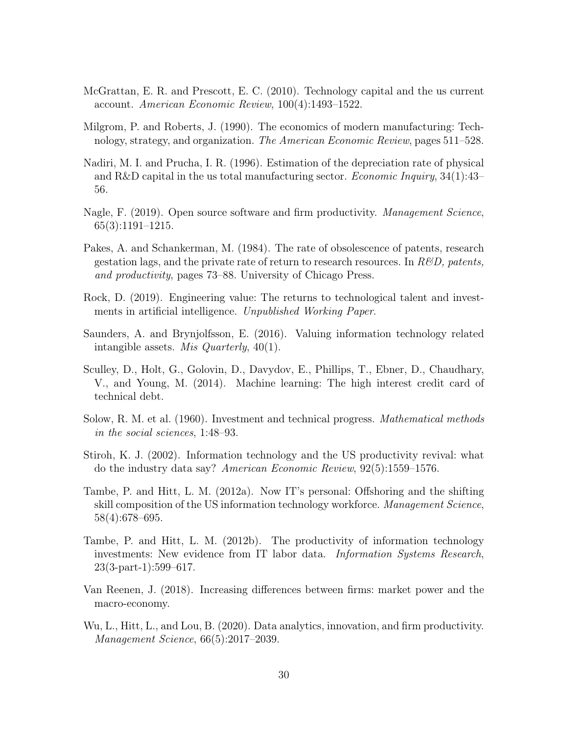- <span id="page-29-3"></span>McGrattan, E. R. and Prescott, E. C. (2010). Technology capital and the us current account. American Economic Review, 100(4):1493–1522.
- <span id="page-29-2"></span>Milgrom, P. and Roberts, J. (1990). The economics of modern manufacturing: Technology, strategy, and organization. The American Economic Review, pages 511–528.
- <span id="page-29-12"></span>Nadiri, M. I. and Prucha, I. R. (1996). Estimation of the depreciation rate of physical and R&D capital in the us total manufacturing sector. *Economic Inquiry*,  $34(1):43-$ 56.
- <span id="page-29-10"></span>Nagle, F. (2019). Open source software and firm productivity. *Management Science*, 65(3):1191–1215.
- <span id="page-29-13"></span>Pakes, A. and Schankerman, M. (1984). The rate of obsolescence of patents, research gestation lags, and the private rate of return to research resources. In  $R\&D$ , patents, and productivity, pages 73–88. University of Chicago Press.
- <span id="page-29-1"></span>Rock, D. (2019). Engineering value: The returns to technological talent and investments in artificial intelligence. Unpublished Working Paper.
- <span id="page-29-11"></span>Saunders, A. and Brynjolfsson, E. (2016). Valuing information technology related intangible assets. Mis Quarterly, 40(1).
- <span id="page-29-4"></span>Sculley, D., Holt, G., Golovin, D., Davydov, E., Phillips, T., Ebner, D., Chaudhary, V., and Young, M. (2014). Machine learning: The high interest credit card of technical debt.
- <span id="page-29-6"></span>Solow, R. M. et al. (1960). Investment and technical progress. Mathematical methods in the social sciences, 1:48–93.
- <span id="page-29-8"></span>Stiroh, K. J. (2002). Information technology and the US productivity revival: what do the industry data say? American Economic Review, 92(5):1559–1576.
- <span id="page-29-9"></span>Tambe, P. and Hitt, L. M. (2012a). Now IT's personal: Offshoring and the shifting skill composition of the US information technology workforce. Management Science, 58(4):678–695.
- <span id="page-29-7"></span>Tambe, P. and Hitt, L. M. (2012b). The productivity of information technology investments: New evidence from IT labor data. *Information Systems Research*, 23(3-part-1):599–617.
- <span id="page-29-0"></span>Van Reenen, J. (2018). Increasing differences between firms: market power and the macro-economy.
- <span id="page-29-5"></span>Wu, L., Hitt, L., and Lou, B. (2020). Data analytics, innovation, and firm productivity. Management Science, 66(5):2017–2039.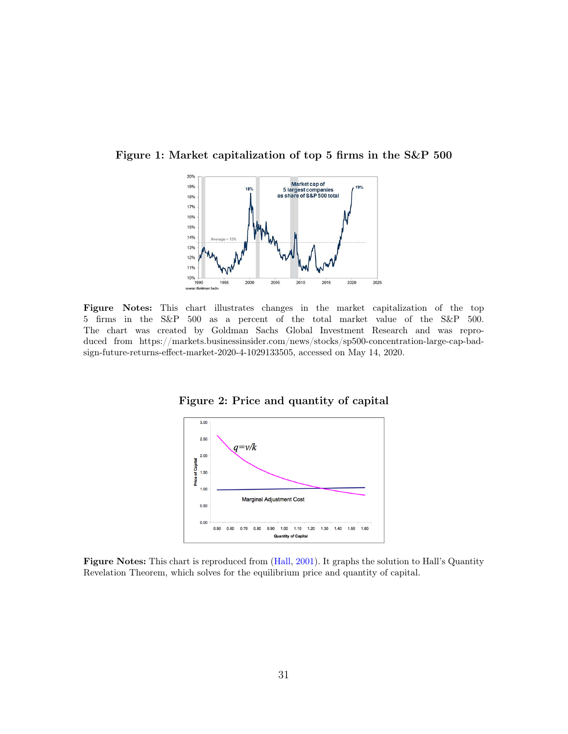<span id="page-30-0"></span>Figure 1: Market capitalization of top 5 firms in the S&P 500



<span id="page-30-1"></span>Figure Notes: This chart illustrates changes in the market capitalization of the top 5 firms in the S&P 500 as a percent of the total market value of the S&P 500. The chart was created by Goldman Sachs Global Investment Research and was reproduced from https://markets.businessinsider.com/news/stocks/sp500-concentration-large-cap-badsign-future-returns-effect-market-2020-4-1029133505, accessed on May 14, 2020.

Figure 2: Price and quantity of capital



Figure Notes: This chart is reproduced from [\(Hall,](#page-28-3) [2001\)](#page-28-3). It graphs the solution to Hall's Quantity Revelation Theorem, which solves for the equilibrium price and quantity of capital.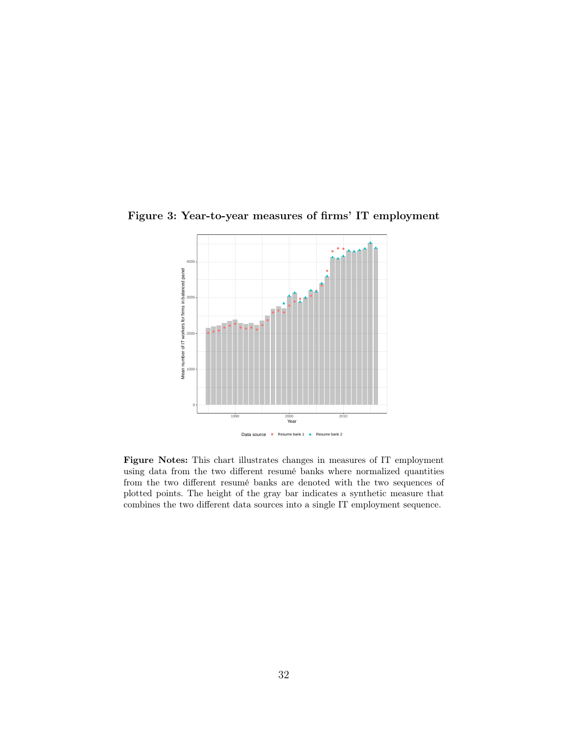

Figure 3: Year-to-year measures of firms' IT employment

Figure Notes: This chart illustrates changes in measures of IT employment using data from the two different resumé banks where normalized quantities from the two different resumé banks are denoted with the two sequences of plotted points. The height of the gray bar indicates a synthetic measure that combines the two different data sources into a single IT employment sequence.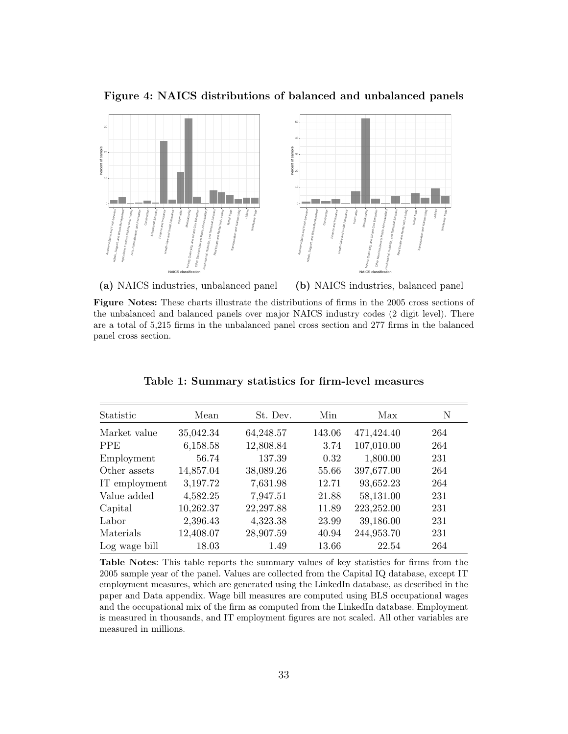<span id="page-32-0"></span>Figure 4: NAICS distributions of balanced and unbalanced panels



(a) NAICS industries, unbalanced panel

(b) NAICS industries, balanced panel

Figure Notes: These charts illustrate the distributions of firms in the 2005 cross sections of the unbalanced and balanced panels over major NAICS industry codes (2 digit level). There are a total of 5,215 firms in the unbalanced panel cross section and 277 firms in the balanced panel cross section.

<span id="page-32-1"></span>

| Statistic     | Mean      | St. Dev.  | Min    | Max        | N   |
|---------------|-----------|-----------|--------|------------|-----|
| Market value  | 35,042.34 | 64,248.57 | 143.06 | 471,424.40 | 264 |
| <b>PPE</b>    | 6,158.58  | 12,808.84 | 3.74   | 107,010.00 | 264 |
| Employment    | 56.74     | 137.39    | 0.32   | 1,800.00   | 231 |
| Other assets  | 14,857.04 | 38,089.26 | 55.66  | 397,677.00 | 264 |
| IT employment | 3,197.72  | 7,631.98  | 12.71  | 93,652.23  | 264 |
| Value added   | 4,582.25  | 7,947.51  | 21.88  | 58,131.00  | 231 |
| Capital       | 10,262.37 | 22,297.88 | 11.89  | 223,252.00 | 231 |
| Labor         | 2,396.43  | 4,323.38  | 23.99  | 39,186.00  | 231 |
| Materials     | 12,408.07 | 28,907.59 | 40.94  | 244,953.70 | 231 |
| Log wage bill | 18.03     | 1.49      | 13.66  | 22.54      | 264 |

Table 1: Summary statistics for firm-level measures

Table Notes: This table reports the summary values of key statistics for firms from the 2005 sample year of the panel. Values are collected from the Capital IQ database, except IT employment measures, which are generated using the LinkedIn database, as described in the paper and Data appendix. Wage bill measures are computed using BLS occupational wages and the occupational mix of the firm as computed from the LinkedIn database. Employment is measured in thousands, and IT employment figures are not scaled. All other variables are measured in millions.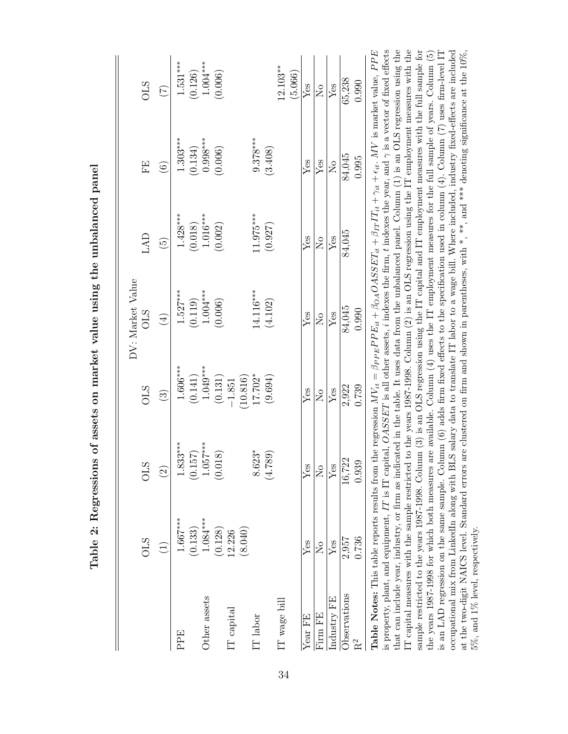| i                                                                   |
|---------------------------------------------------------------------|
|                                                                     |
|                                                                     |
|                                                                     |
|                                                                     |
|                                                                     |
|                                                                     |
|                                                                     |
|                                                                     |
|                                                                     |
| 2: Regressions of assets on market value using the unbalanced panel |
|                                                                     |
|                                                                     |
| コンコンコール・コンコンコート<br>$\frac{1}{2}$<br>.<br>.<br>.                     |

|                | <b>OLS</b>              | <b>OLS</b>                                                                                                                                                                                                                                                                                               | <b>OLS</b>              | DV: Market Value<br><b>CTO</b> | LAD                     | FE                      | <b>OLS</b>                |
|----------------|-------------------------|----------------------------------------------------------------------------------------------------------------------------------------------------------------------------------------------------------------------------------------------------------------------------------------------------------|-------------------------|--------------------------------|-------------------------|-------------------------|---------------------------|
|                | $\widehat{\Xi}$         | $\widehat{\Omega}$                                                                                                                                                                                                                                                                                       | $\widehat{\mathbf{c}}$  | $\left(\frac{4}{3}\right)$     | $\widehat{5}$           | $\widehat{\mathbf{e}}$  | $\widetilde{\mathcal{L}}$ |
| PPE            | $1.667***$              | $1.833***$                                                                                                                                                                                                                                                                                               | $1.606***$              | $1.527***$                     | $1.428***$              | $1.303***$              | $1.531***$                |
|                | (0.133)                 | (0.157)                                                                                                                                                                                                                                                                                                  | (0.141)                 | (0.119)                        | (0.018)                 | (0.134)                 | (0.126)                   |
| Other assets   | $1.084***$              | 057***<br>$\frac{1}{1}$                                                                                                                                                                                                                                                                                  | $1.049***$              | $1.004***$                     | $1.016***$              | $0.998***$              | $1.004***$                |
|                | (0.128)                 | (318)<br>$\sum_{i=1}^{\infty}$                                                                                                                                                                                                                                                                           | (0.131)                 | (0.006)                        | (0.002)                 | (0.006)                 | (0.006)                   |
| $IT$ capital   | (8.040)<br>12.226       |                                                                                                                                                                                                                                                                                                          | (10.816)<br>$-1.851$    |                                |                         |                         |                           |
| $\rm IT$ labor |                         | $623*$<br>$\frac{8}{8}$                                                                                                                                                                                                                                                                                  | $17.702*$               | 14.116***                      | $11.975***$             | $9.378***$              |                           |
|                |                         | (4.789)                                                                                                                                                                                                                                                                                                  | (9.694)                 | (4.102)                        | (0.927)                 | (3.408)                 |                           |
| IT wage bill   |                         |                                                                                                                                                                                                                                                                                                          |                         |                                |                         |                         | $12.103***$               |
|                |                         |                                                                                                                                                                                                                                                                                                          |                         |                                |                         |                         | (5.066)                   |
| Year FE        | Yes                     | Yes                                                                                                                                                                                                                                                                                                      | Yes                     | Yes                            | $Y$ es                  | Yes                     | $Y$ es                    |
| Firm FE        | $\overline{\mathsf{z}}$ | ž                                                                                                                                                                                                                                                                                                        | $\overline{\mathsf{z}}$ | $\overline{\mathsf{S}}$        | $\overline{\mathsf{z}}$ | Yes                     | $\overline{\mathsf{z}}$   |
| Industry FE    | $Y$ es                  | Yes                                                                                                                                                                                                                                                                                                      | Yes                     | Yes                            | $Y$ es                  | $\overline{\mathsf{z}}$ | $Y$ es                    |
| Observations   | 2,957                   | 16,722                                                                                                                                                                                                                                                                                                   | 2,922                   | 84,045                         | 84,045                  | 84,045                  | 65,238                    |
| $R^2$          | 0.736                   | 0.939                                                                                                                                                                                                                                                                                                    | 0.739                   | 0.990                          |                         | 0.995                   | 0.990                     |
|                |                         | <b>Table Notes:</b> This table reports results from the regression $MV_{it} = \beta_{PPE} P E_{it} + \beta_{OA} O A S S E T_{it} + \beta_{IT} I T_{it} + \gamma_{it} + \epsilon_{it}$ . MV is market value, PPE                                                                                          |                         |                                |                         |                         |                           |
|                |                         | is property, plant, and equipment, IT is IT capital, $OASSET$ is all other assets, i indexes the firm, t indexes the year, and $\gamma$ is a vector of fixed effects                                                                                                                                     |                         |                                |                         |                         |                           |
|                |                         | that can include year, industry, or firm as indicated in the table. It uses data from the unbalanced panel. Column (1) is an OLS regression using the<br>T capital measures with the sample restricted to the years 1987-1998. Column (2) is an OLS regression using the IT employment measures with the |                         |                                |                         |                         |                           |
|                |                         | sample restricted to the years 1987-1998. Column (3) is an OLS regression using the IT capital and IT employment measures with the full sample for                                                                                                                                                       |                         |                                |                         |                         |                           |

the years 1987-1998 for which both measures are available. Column (4) uses the IT employment measures for the full sample of years. Column (5) is an LAD regression on the same sample. Column (6) adds firm fixed effects to the specification used in column (4). Column (7) uses firm-level IT occupational mix from LinkedIn along with BLS salary data to translate IT labor to a wage bill. Where included, industry fixed-effects are included at the two-digit NAICS level. Standard errors are clustered on firm and shown in parentheses, with \*, \*\*, and \*\*\* denoting significance at the 10%,

the years 1987-1998 for which both measures are available. Column (4) uses the IT employment measures for the full sample of years. Column (5) is an LAD regression on the same sample. Column (6) adds firm fixed effects to

5%, and 1% level, respectively.

 $5\%$  , and  $1\%$  level, respectively.

<span id="page-33-0"></span>34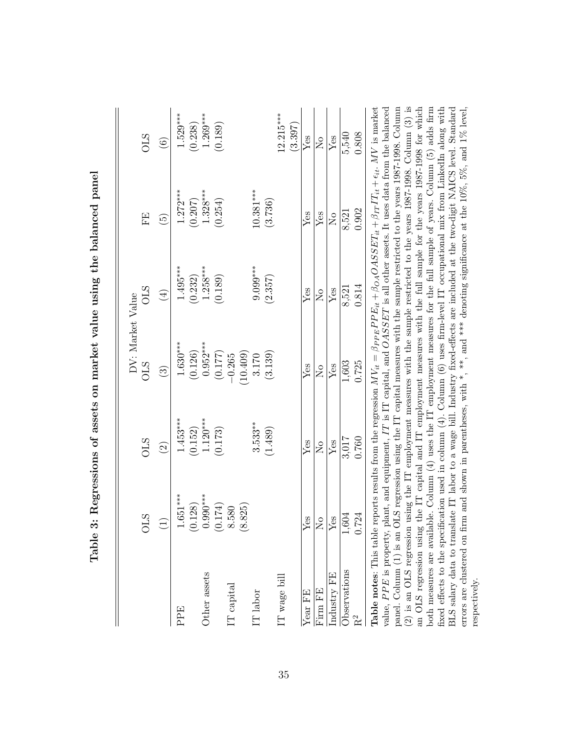|              |                       |                                                                             | DV: Market Value        |                              |                                                                                                                                                                                     |                |
|--------------|-----------------------|-----------------------------------------------------------------------------|-------------------------|------------------------------|-------------------------------------------------------------------------------------------------------------------------------------------------------------------------------------|----------------|
|              | <b>STO</b>            | STO                                                                         | <b>OLS</b>              | <b>OLS</b>                   | FE                                                                                                                                                                                  | STO            |
|              | $\widehat{\Xi}$       | $\widehat{c}$                                                               | $\widehat{c}$           | $\left( \frac{4}{2} \right)$ | $\widetilde{G}$                                                                                                                                                                     | $\odot$        |
| PPE          | $1.651***$            | $1.453***$                                                                  | $1.630***$              | $1.495***$                   | $1.272***$                                                                                                                                                                          | $1.529***$     |
|              |                       | (0.152)                                                                     | (0.126)                 | (0.232)                      | (0.207)                                                                                                                                                                             | (0.238)        |
| Other assets | $(0.128)$<br>0.990*** | $1.120***$                                                                  | $0.952***$              | $1.258***$                   | $1.328***$                                                                                                                                                                          | $1.269***$     |
|              | $(0.174)$<br>8.580    | (0.173)                                                                     | (0.177)                 | (0.189)                      | (0.254)                                                                                                                                                                             | (0.189)        |
| IT capital   |                       |                                                                             | $-0.265$                |                              |                                                                                                                                                                                     |                |
|              | (8.825)               |                                                                             | 10.409)                 |                              |                                                                                                                                                                                     |                |
| IT labor     |                       | $3.533***$                                                                  | 3.170                   | $9.099***$                   | $10.381***$                                                                                                                                                                         |                |
|              |                       | (1.489)                                                                     | (3.139)                 | (2.357)                      | (3.736)                                                                                                                                                                             |                |
| IT wage bill |                       |                                                                             |                         |                              |                                                                                                                                                                                     | $12.215***$    |
|              |                       |                                                                             |                         |                              |                                                                                                                                                                                     | (3.397)        |
| Year FE      | Yes                   | Yes                                                                         | $Y$ es                  | $Y$ es                       | $Y$ es                                                                                                                                                                              | $Y$ es         |
| Firm FE      | ž                     | $\overline{S}$                                                              | $\overline{\mathsf{S}}$ | $\overline{\mathsf{X}}$      | ${\rm Yes}$                                                                                                                                                                         | $\overline{S}$ |
| Industry FE  | $\rm Yes$             | Yes                                                                         | Yes                     | ${\rm Yes}$                  | $\overline{N}$                                                                                                                                                                      | Yes            |
| Observations | 1,604                 | 3,017                                                                       | 1,603                   | 8,521                        | 8,521                                                                                                                                                                               | 5,540          |
| $R^2$        | 0.724                 | 0.760                                                                       | 0.725                   | 0.814                        | 0.902                                                                                                                                                                               | 0.808          |
|              |                       | Table $\alpha$ This table range results from the recrease $M_{\rm L} = 2$ . |                         |                              | $\mathbf{D}\mathbf{D}\mathbf{F}$ , $\mathbf{A}\mathbf{A}=\mathbf{A}\mathbf{A}\mathbf{C}\mathbf{C}\mathbf{F}$ , $\mathbf{F}$ , $\mathbf{A}=\mathbf{F}$ , $\mathbf{F}$ , $\mathbf{A}$ | $MT$ is morted |

<span id="page-34-0"></span>Table 3: Regressions of assets on market value using the balanced panel Table 3: Regressions of assets on market value using the balanced panel

(2) is an OLS regression using the IT employment measures with the sample restricted to the years 1987-1998. Column (3) is both measures are available. Column  $(4)$  uses the IT employment measures for the full sample of years. Column  $(5)$  adds firm BLS salary data to translate IT labor to a wage bill. Industry fixed-effects are included at the two-digit NAICS level. Standard errors are clustered on firm and shown in parentheses, with  $*$ ,  $**$ , and  $**$  denoting signi panel. Column (1) is an OLS regression using the IT capital measures with the sample restricted to the years 1987-1998. Column (2) is an OLS regression using the IT employment measures with the sample restricted to the years 1987-1998. Column (3) is an OLS regression using the IT capital and IT employment measures with the full sample for the years 1987-1998 for which fixed effects to the specification used in column  $(4)$ . Column  $(6)$  uses firm-level IT occupational mix from LinkedIn along with  $+ \epsilon_{it}$ . MV is market value, PPE is property, plant, and equipment, IT is IT capital, and OASSET is all other assets. It uses data from the balanced<br> $\overline{C}$ ,  $\overline{C}$ ,  $\overline{C}$ ,  $\overline{C}$ ,  $\overline{C}$ ,  $\overline{C}$ ,  $\overline{C}$ ,  $\overline{C}$ ,  $\overline{C}$ ,  $\overline$ panel. Column (1) is an OLS regression using the IT capital measures with the sample restricted to the years 1987-1998. Column an OLS regression using the IT capital and IT employment measures with the full sample for the years 1987-1998 for which both measures are available. Column (4) uses the IT employment measures for the full sample of years. Column (5) adds firm<br>end affects the construction was the column (4)  $\sum_{i=1}^{n} C_i$  and  $C_i$  and  $C_i$  and  $C_i$  and  $C_i$ fixed effects to the specification used in column (4). Column (6) uses firm-level IT occupational mix from LinkedIn along with BLS salary data to translate IT labor to a wage bill. Industry fixed-effects are included at the two-digit NAICS level. Standard errors are clustered on firm and shown in parentheses, with \*, \*\*, and \*\*\* denoting significance at the 10%, 5%, and 1% level,  $\beta_{IT} I T_{it}$ + $\beta_{OA}OASSET_{it}$ + $\beta_{PPE} PPE_{it}$ **Table notes:** This table reports results from the regression  $M V_{it}$ respectively. respectively.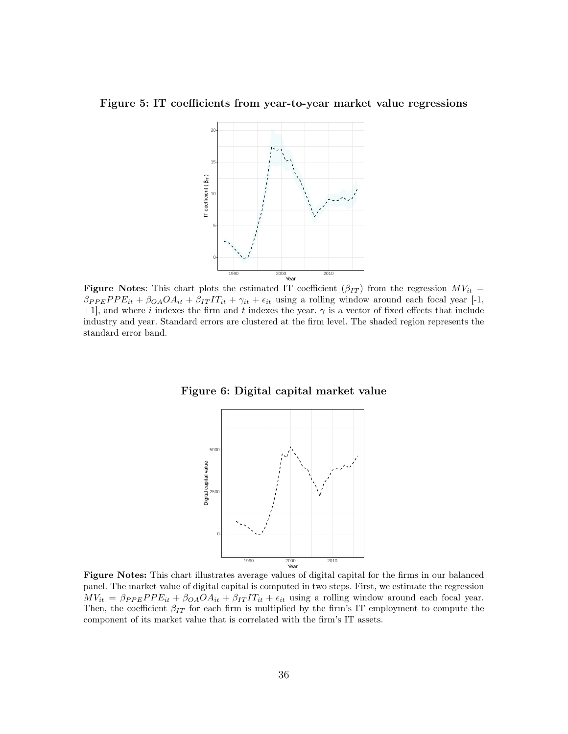<span id="page-35-0"></span>Figure 5: IT coefficients from year-to-year market value regressions



**Figure Notes:** This chart plots the estimated IT coefficient  $(\beta_{IT})$  from the regression  $MV_{it}$  =  $\beta_{PPE} PPE_{it} + \beta_{OA}OA_{it} + \beta_{IT} IT_{it} + \gamma_{it} + \epsilon_{it}$  using a rolling window around each focal year [-1, +1], and where i indexes the firm and t indexes the year.  $\gamma$  is a vector of fixed effects that include industry and year. Standard errors are clustered at the firm level. The shaded region represents the standard error band.

<span id="page-35-1"></span>



Figure Notes: This chart illustrates average values of digital capital for the firms in our balanced panel. The market value of digital capital is computed in two steps. First, we estimate the regression  $MV_{it} = \beta_{PPE} PPE_{it} + \beta_{OA} OA_{it} + \beta_{IT} IT_{it} + \epsilon_{it}$  using a rolling window around each focal year. Then, the coefficient  $\beta_{IT}$  for each firm is multiplied by the firm's IT employment to compute the component of its market value that is correlated with the firm's IT assets.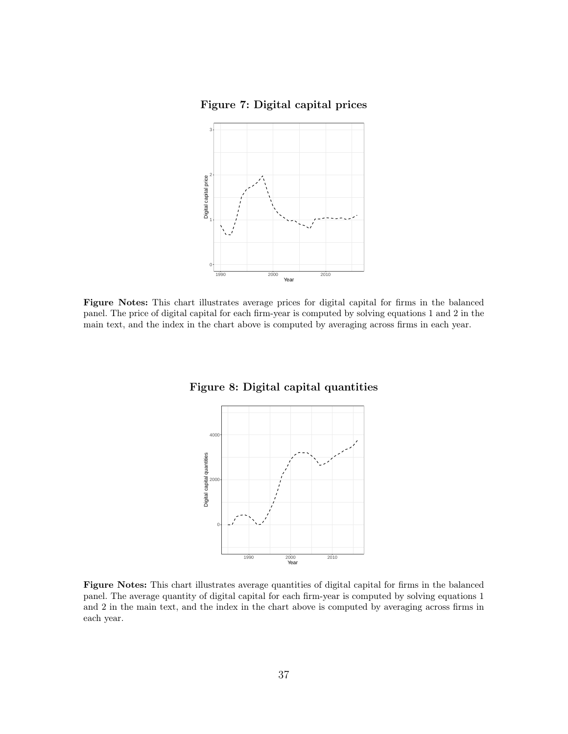Figure 7: Digital capital prices

<span id="page-36-0"></span>

<span id="page-36-1"></span>Figure Notes: This chart illustrates average prices for digital capital for firms in the balanced panel. The price of digital capital for each firm-year is computed by solving equations [1](#page-6-0) and [2](#page-6-1) in the main text, and the index in the chart above is computed by averaging across firms in each year.

Figure 8: Digital capital quantities



Figure Notes: This chart illustrates average quantities of digital capital for firms in the balanced panel. The average quantity of digital capital for each firm-year is computed by solving equations [1](#page-6-0) and [2](#page-6-1) in the main text, and the index in the chart above is computed by averaging across firms in each year.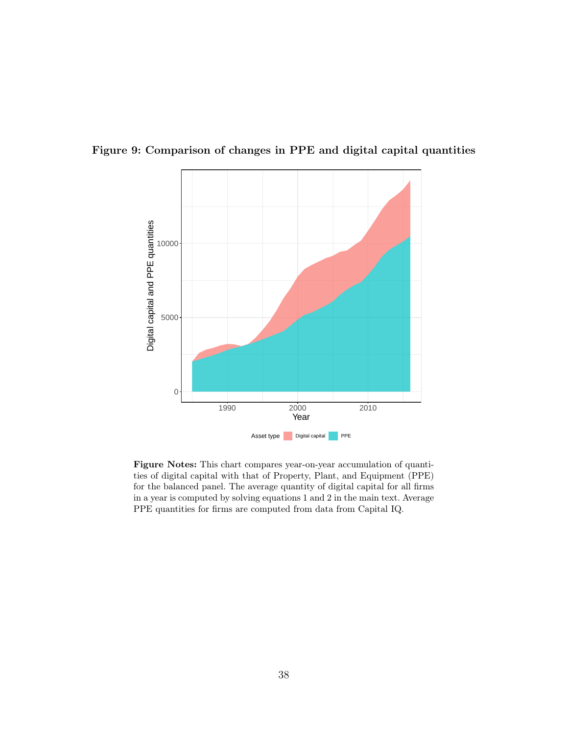<span id="page-37-0"></span>



Figure Notes: This chart compares year-on-year accumulation of quantities of digital capital with that of Property, Plant, and Equipment (PPE) for the balanced panel. The average quantity of digital capital for all firms in a year is computed by solving equations [1](#page-6-0) and [2](#page-6-1) in the main text. Average PPE quantities for firms are computed from data from Capital IQ.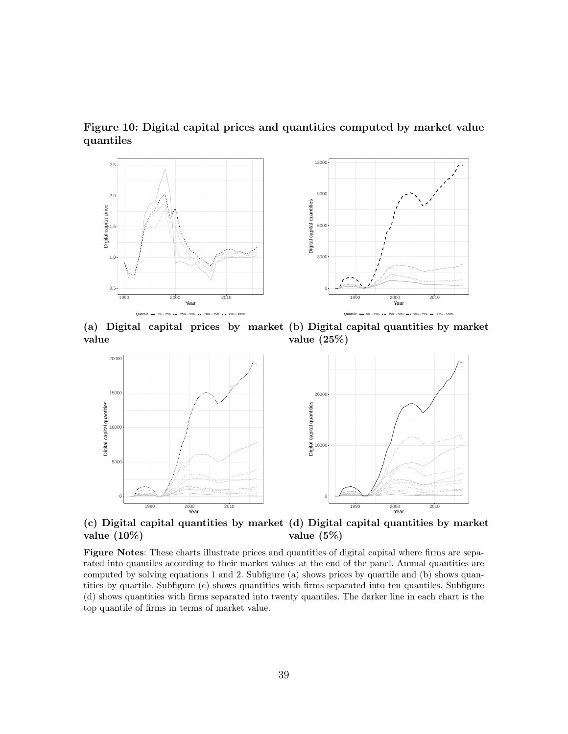<span id="page-38-0"></span>Figure 10: Digital capital prices and quantities computed by market value quantiles



(a) Digital capital prices by market (b) Digital capital quantities by market value value (25%)



(c) Digital capital quantities by market (d) Digital capital quantities by market value (10%) value (5%)

Figure Notes: These charts illustrate prices and quantities of digital capital where firms are separated into quantiles according to their market values at the end of the panel. Annual quantities are computed by solving equations [1](#page-6-0) and [2.](#page-6-1) Subfigure (a) shows prices by quartile and (b) shows quantities by quartile. Subfigure (c) shows quantities with firms separated into ten quantiles. Subfigure (d) shows quantities with firms separated into twenty quantiles. The darker line in each chart is the top quantile of firms in terms of market value.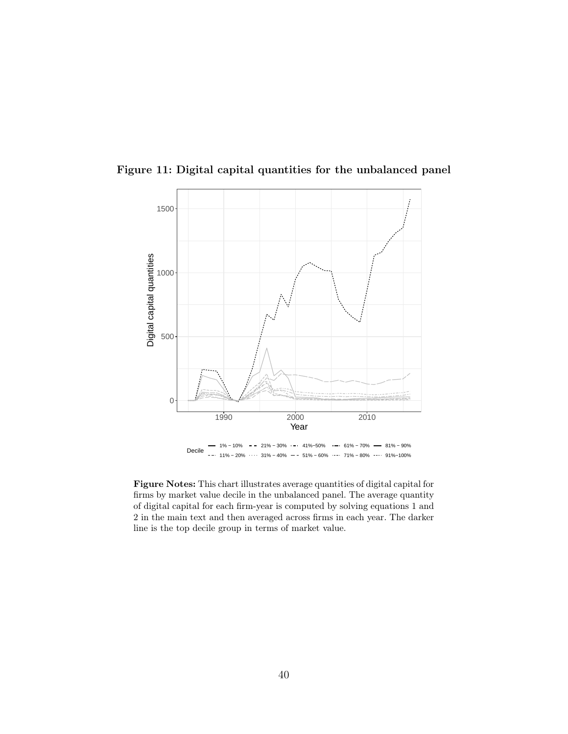

<span id="page-39-0"></span>Figure 11: Digital capital quantities for the unbalanced panel

Figure Notes: This chart illustrates average quantities of digital capital for firms by market value decile in the unbalanced panel. The average quantity of digital capital for each firm-year is computed by solving equations [1](#page-6-0) and [2](#page-6-1) in the main text and then averaged across firms in each year. The darker line is the top decile group in terms of market value.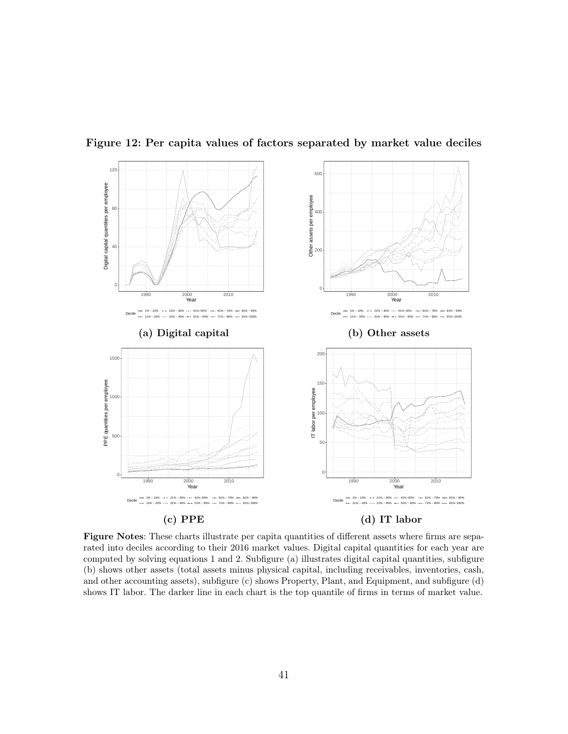

<span id="page-40-0"></span>Figure 12: Per capita values of factors separated by market value deciles

Figure Notes: These charts illustrate per capita quantities of different assets where firms are separated into deciles according to their 2016 market values. Digital capital quantities for each year are computed by solving equations [1](#page-6-0) and [2.](#page-6-1) Subfigure (a) illustrates digital capital quantities, subfigure (b) shows other assets (total assets minus physical capital, including receivables, inventories, cash, and other accounting assets), subfigure (c) shows Property, Plant, and Equipment, and subfigure (d) shows IT labor. The darker line in each chart is the top quantile of firms in terms of market value.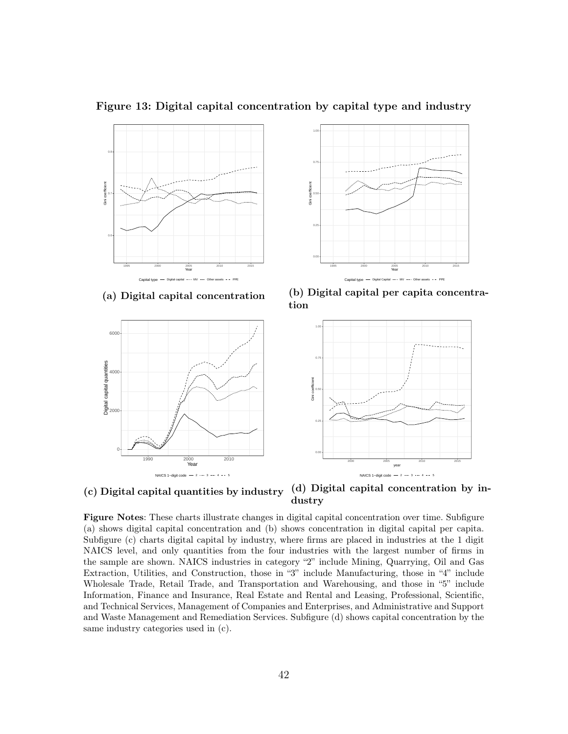

<span id="page-41-0"></span>Figure 13: Digital capital concentration by capital type and industry

(a) Digital capital concentration





(b) Digital capital per capita concentration



(c) Digital capital quantities by industry (d) Digital capital concentration by industry

Figure Notes: These charts illustrate changes in digital capital concentration over time. Subfigure (a) shows digital capital concentration and (b) shows concentration in digital capital per capita. Subfigure (c) charts digital capital by industry, where firms are placed in industries at the 1 digit NAICS level, and only quantities from the four industries with the largest number of firms in the sample are shown. NAICS industries in category "2" include Mining, Quarrying, Oil and Gas Extraction, Utilities, and Construction, those in "3" include Manufacturing, those in "4" include Wholesale Trade, Retail Trade, and Transportation and Warehousing, and those in "5" include Information, Finance and Insurance, Real Estate and Rental and Leasing, Professional, Scientific, and Technical Services, Management of Companies and Enterprises, and Administrative and Support and Waste Management and Remediation Services. Subfigure (d) shows capital concentration by the same industry categories used in (c).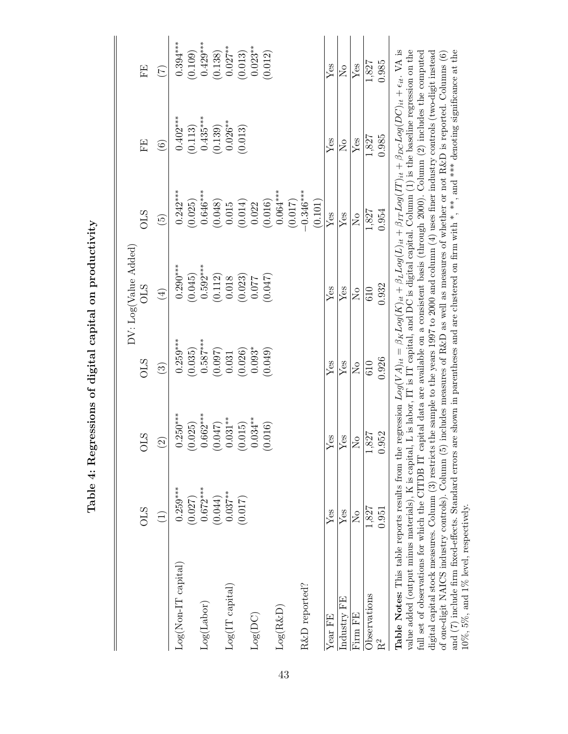<span id="page-42-0"></span>

| corressions of digital capital on productive. |
|-----------------------------------------------|
|                                               |
|                                               |
|                                               |
|                                               |
|                                               |
|                                               |
| Table 4:                                      |

|                                                                                                                                                                                                                                                                                                                                                                 |                         |                       |                         | DV: Log(Value Added)    |                            |                         |                         |
|-----------------------------------------------------------------------------------------------------------------------------------------------------------------------------------------------------------------------------------------------------------------------------------------------------------------------------------------------------------------|-------------------------|-----------------------|-------------------------|-------------------------|----------------------------|-------------------------|-------------------------|
|                                                                                                                                                                                                                                                                                                                                                                 | <b>OLS</b>              | <b>STC</b>            | <b>OLS</b>              | <b>OLS</b>              | <b>STIO</b>                | FE                      | FE                      |
|                                                                                                                                                                                                                                                                                                                                                                 | $\widehat{\Xi}$         | $\widetilde{2}$       | $\widehat{\mathbb{C}}$  | $\bigoplus$             | $\widetilde{5}$            | $\widehat{\mathbf{e}}$  | $\widehat{\subset}$     |
| $Log(Non-IT\ capital)$                                                                                                                                                                                                                                                                                                                                          | $0.259***$              | $0.250***$            | $0.259***$              | $0.290***$              | $0.242***$                 | $0.402***$              | $0.394***$              |
| Log(Labor)                                                                                                                                                                                                                                                                                                                                                      | $0.672***$<br>(0.027)   | $0.662***$<br>(0.025) | $0.587***$<br>(0.035)   | $0.592***$<br>(0.045)   | $0.646***$<br>(0.025)      | $0.435***$<br>(0.113)   | $0.429***$<br>(0.109)   |
|                                                                                                                                                                                                                                                                                                                                                                 | (0.044)                 | (250.0)               | (0.097)                 | $\left(0.112\right)$    | (0.048)                    | (0.139)                 | (0.138)                 |
| Log(IT capital)                                                                                                                                                                                                                                                                                                                                                 | $0.037***$              | $0.031***$            | 0.031                   | $0.018\,$               | 0.015                      | $0.026**$               | $0.027***$              |
|                                                                                                                                                                                                                                                                                                                                                                 | (0.017)                 | (0.015)               | (0.026)                 | (0.023)                 | (0.014)                    | (0.013)                 | (0.013)                 |
| $Log(DC)$                                                                                                                                                                                                                                                                                                                                                       |                         | $0.034***$            | $0.093*$                | 0.077                   | 0.022                      |                         | $0.023***$              |
|                                                                                                                                                                                                                                                                                                                                                                 |                         | (0.016)               | (0.049)                 | (2F0.0)                 | (0.016)                    |                         | (0.012)                 |
| $Log(R\&D)$                                                                                                                                                                                                                                                                                                                                                     |                         |                       |                         |                         | $0.064***$                 |                         |                         |
|                                                                                                                                                                                                                                                                                                                                                                 |                         |                       |                         |                         | (0.017)                    |                         |                         |
| R&D reported?                                                                                                                                                                                                                                                                                                                                                   |                         |                       |                         |                         | $-0.346***$                |                         |                         |
|                                                                                                                                                                                                                                                                                                                                                                 |                         |                       |                         |                         | (0.101)                    |                         |                         |
| Year FE                                                                                                                                                                                                                                                                                                                                                         | Yes                     | Yes                   | Yes                     | $Y$ es                  | Yes                        | Yes                     | Yes                     |
| Industry FE                                                                                                                                                                                                                                                                                                                                                     | $Y$ es                  | Yes                   | Yes                     | $Y$ es                  | Yes                        | $\overline{\mathsf{S}}$ | $\overline{\mathsf{S}}$ |
| Firm FE                                                                                                                                                                                                                                                                                                                                                         | $\overline{\mathsf{z}}$ | $\overline{S}$        | $\overline{\mathsf{S}}$ | $\overline{\mathsf{S}}$ | $\mathcal{L}_{\mathsf{O}}$ | Yes                     | Yes                     |
| Observations                                                                                                                                                                                                                                                                                                                                                    | 1,827                   | 827                   | 610                     | 610                     | 1,827                      | 1,827                   | 1,827                   |
| $\rm R^2$                                                                                                                                                                                                                                                                                                                                                       | 0.951                   | .952                  | 0.926                   | 0.932                   | 0.954                      | 0.985                   | 0.985                   |
| Table Notes: This table reports results from the regression $Log(VA)_{it} = \beta_K Log(K)_{it} + \beta_L Log(L)_{it} + \beta_{IT} Log(IT)_{it} + \beta_{DC} Log(DC)_{it} + \epsilon_{it}$ . VA is<br>value added (output minus materials), K is capital, L is labor, IT is IT capital, and DC is digital capital. Column (1) is the baseline regression on the |                         |                       |                         |                         |                            |                         |                         |

of one-digit NAICS industry controls). Column (5) includes measures of R&D as well as measures of whether or not R&D is reported. Columns (6) and (7) include firm fixed-effects. Standard errors are shown in parentheses an full set of observations for which the CITDB IT capital data are available on a consistent basis (through 2000). Column (2) includes the computed digital capital stock measures. Column  $(3)$  restricts the sample to the years 1997 to 2000 and column  $(4)$  uses finer industry controls (two-digit instead full set of observations for which the CITDB IT capital data are available on a consistent basis (through 2000). Column (2) includes the computed digital capital stock measures. Column (3) restricts the sample to the years 1997 to 2000 and column (4) uses finer industry controls (two-digit instead and (7) include firm fixed-effects. Standard errors are shown in parentheses and are clustered on firm with \*, \*\*, and \*\*\* denoting significance at the of one-digit NAICS industry controls). Column (5) includes measures of R&D as well as measures of whether or not R&D is reported. Columns (6) 10%, 5%, and 1% level, respectively.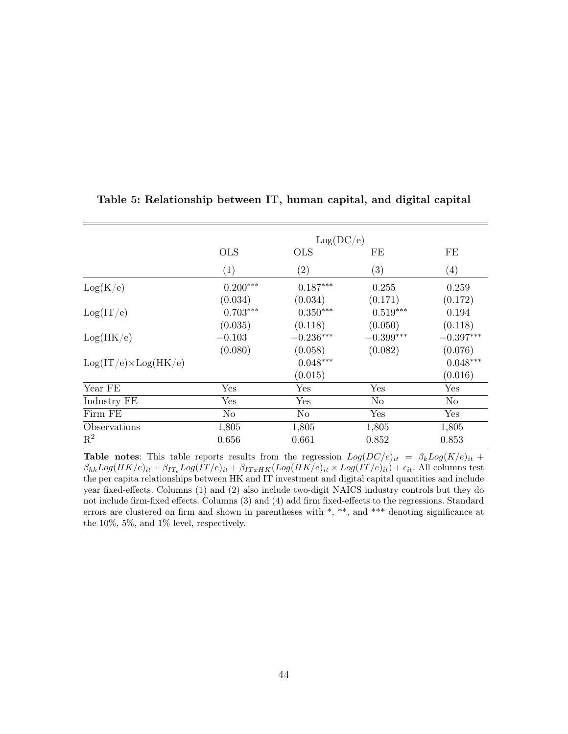|                              |                | Log(DC/e)         |                |                         |
|------------------------------|----------------|-------------------|----------------|-------------------------|
|                              | <b>OLS</b>     | <b>OLS</b>        | FE             | FE                      |
|                              | (1)            | $\left( 2\right)$ | (3)            | $\left( 4\right)$       |
| Log(K/e)                     | $0.200***$     | $0.187***$        | 0.255          | 0.259                   |
|                              | (0.034)        | (0.034)           | (0.171)        | (0.172)                 |
| Log(IT/e)                    | $0.703***$     | $0.350^{***}\,$   | $0.519***$     | 0.194                   |
|                              | (0.035)        | (0.118)           | (0.050)        | (0.118)                 |
| Log(HK/e)                    | $-0.103$       | $-0.236***$       | $-0.399***$    | $-0.397^{\ast\ast\ast}$ |
|                              | (0.080)        | (0.058)           | (0.082)        | (0.076)                 |
| $Log(IT/e) \times Log(HK/e)$ |                | $0.048***$        |                | $0.048***$              |
|                              |                | (0.015)           |                | (0.016)                 |
| Year FE                      | Yes            | Yes               | $_{\rm Yes}$   | Yes                     |
| Industry FE                  | Yes            | Yes               | N <sub>o</sub> | No                      |
| Firm FE                      | N <sub>o</sub> | No                | Yes            | Yes                     |
| Observations                 | 1,805          | 1,805             | 1,805          | 1,805                   |
| $\mathrm{R}^2$               | 0.656          | 0.661             | 0.852          | 0.853                   |

#### <span id="page-43-0"></span>Table 5: Relationship between IT, human capital, and digital capital

**Table notes:** This table reports results from the regression  $Log(DC/e)_{it} = \beta_k Log(K/e)_{it} +$  $\beta_{hk}Log(HK/e)_{it} + \beta_{IT_e}Log(TT/e)_{it} + \beta_{ITxHK}(Log(HK/e)_{it} \times Log(TT/e)_{it}) + \epsilon_{it}$ . All columns test the per capita relationships between HK and IT investment and digital capital quantities and include year fixed-effects. Columns (1) and (2) also include two-digit NAICS industry controls but they do not include firm-fixed effects. Columns (3) and (4) add firm fixed-effects to the regressions. Standard errors are clustered on firm and shown in parentheses with \*, \*\*, and \*\*\* denoting significance at the 10%, 5%, and 1% level, respectively.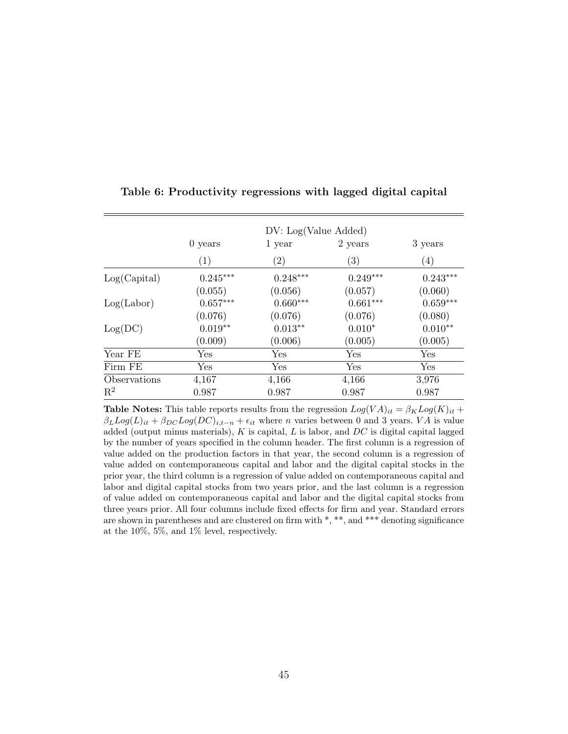|                |            | DV: Log(Value Added) |                   |                  |
|----------------|------------|----------------------|-------------------|------------------|
|                | $0$ years  | 1 year               | 2 years           | 3 years          |
|                | (1)        | $\left( 2\right)$    | $\left( 3\right)$ | $\left(4\right)$ |
| Log(Capital)   | $0.245***$ | $0.248***$           | $0.249***$        | $0.243***$       |
|                | (0.055)    | (0.056)              | (0.057)           | (0.060)          |
| Log( Labor)    | $0.657***$ | $0.660***$           | $0.661***$        | $0.659***$       |
|                | (0.076)    | (0.076)              | (0.076)           | (0.080)          |
| Log(DC)        | $0.019**$  | $0.013**$            | $0.010*$          | $0.010**$        |
|                | (0.009)    | (0.006)              | (0.005)           | (0.005)          |
| Year FE        | Yes        | Yes                  | Yes               | Yes              |
| Firm FE        | Yes        | Yes                  | Yes               | Yes              |
| Observations   | 4,167      | 4,166                | 4,166             | 3,976            |
| $\mathbf{R}^2$ | 0.987      | 0.987                | 0.987             | 0.987            |

#### <span id="page-44-0"></span>Table 6: Productivity regressions with lagged digital capital

**Table Notes:** This table reports results from the regression  $Log(VA)_{it} = \beta_K Log(K)_{it} +$  $\beta_L Log(L)_{it} + \beta_{DC} Log(DC)_{i,t-n} + \epsilon_{it}$  where *n* varies between 0 and 3 years. VA is value added (output minus materials),  $K$  is capital,  $L$  is labor, and  $DC$  is digital capital lagged by the number of years specified in the column header. The first column is a regression of value added on the production factors in that year, the second column is a regression of value added on contemporaneous capital and labor and the digital capital stocks in the prior year, the third column is a regression of value added on contemporaneous capital and labor and digital capital stocks from two years prior, and the last column is a regression of value added on contemporaneous capital and labor and the digital capital stocks from three years prior. All four columns include fixed effects for firm and year. Standard errors are shown in parentheses and are clustered on firm with \*, \*\*, and \*\*\* denoting significance at the 10%, 5%, and 1% level, respectively.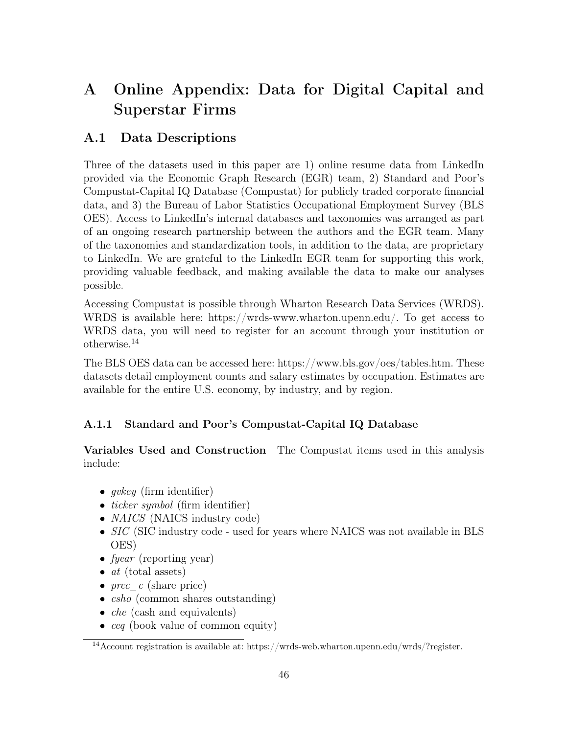# <span id="page-45-0"></span>A Online Appendix: Data for Digital Capital and Superstar Firms

## A.1 Data Descriptions

Three of the datasets used in this paper are 1) online resume data from LinkedIn provided via the Economic Graph Research (EGR) team, 2) Standard and Poor's Compustat-Capital IQ Database (Compustat) for publicly traded corporate financial data, and 3) the Bureau of Labor Statistics Occupational Employment Survey (BLS OES). Access to LinkedIn's internal databases and taxonomies was arranged as part of an ongoing research partnership between the authors and the EGR team. Many of the taxonomies and standardization tools, in addition to the data, are proprietary to LinkedIn. We are grateful to the LinkedIn EGR team for supporting this work, providing valuable feedback, and making available the data to make our analyses possible.

Accessing Compustat is possible through Wharton Research Data Services (WRDS). WRDS is available here: https://wrds-www.wharton.upenn.edu/. To get access to WRDS data, you will need to register for an account through your institution or otherwise.[14](#page-0-0)

The BLS OES data can be accessed here: https://www.bls.gov/oes/tables.htm. These datasets detail employment counts and salary estimates by occupation. Estimates are available for the entire U.S. economy, by industry, and by region.

### A.1.1 Standard and Poor's Compustat-Capital IQ Database

Variables Used and Construction The Compustat items used in this analysis include:

- $qvkey$  (firm identifier)
- *ticker symbol* (firm identifier)
- *NAICS* (NAICS industry code)
- SIC (SIC industry code used for years where NAICS was not available in BLS OES)
- fyear (reporting year)
- $at$  (total assets)
- $prec c$  (share price)
- *csho* (common shares outstanding)
- *che* (cash and equivalents)
- *ceq* (book value of common equity)

<sup>&</sup>lt;sup>14</sup> Account registration is available at: https://wrds-web.wharton.upenn.edu/wrds/?register.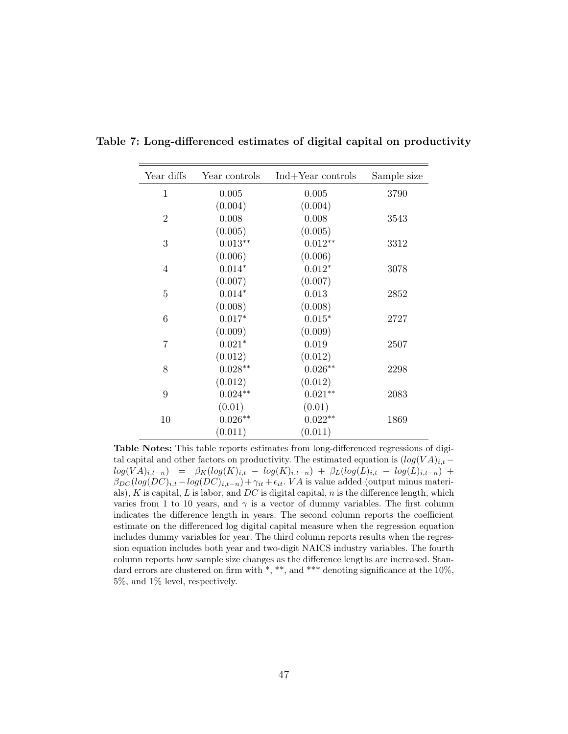| Year diffs     | Year controls | $Ind+Year$ controls | Sample size |
|----------------|---------------|---------------------|-------------|
| $\mathbf{1}$   | 0.005         | 0.005               | 3790        |
|                | (0.004)       | (0.004)             |             |
| $\overline{2}$ | 0.008         | 0.008               | 3543        |
|                | (0.005)       | (0.005)             |             |
| 3              | $0.013**$     | $0.012**$           | 3312        |
|                | (0.006)       | (0.006)             |             |
| 4              | $0.014*$      | $0.012*$            | 3078        |
|                | (0.007)       | (0.007)             |             |
| 5              | $0.014*$      | 0.013               | 2852        |
|                | (0.008)       | (0.008)             |             |
| 6              | $0.017*$      | $0.015*$            | 2727        |
|                | (0.009)       | (0.009)             |             |
| $\overline{7}$ | $0.021*$      | 0.019               | 2507        |
|                | (0.012)       | (0.012)             |             |
| 8              | $0.028**$     | $0.026**$           | 2298        |
|                | (0.012)       | (0.012)             |             |
| 9              | $0.024**$     | $0.021**$           | 2083        |
|                | (0.01)        | (0.01)              |             |
| 10             | $0.026**$     | $0.022**$           | 1869        |
|                | (0.011)       | (0.011)             |             |

<span id="page-46-0"></span>Table 7: Long-differenced estimates of digital capital on productivity

Table Notes: This table reports estimates from long-differenced regressions of digital capital and other factors on productivity. The estimated equation is  $(log(VA)_{i,t}$  −  $log(V A)_{i,t-n}) = \beta_K(log(K)_{i,t} - log(K)_{i,t-n}) + \beta_L(log(L)_{i,t} - log(L)_{i,t-n}) +$  $\beta_{DC}(log(DC)_{i,t} - log(DC)_{i,t-n}) + \gamma_{it} + \epsilon_{it}$ . V A is value added (output minus materials),  $K$  is capital,  $L$  is labor, and  $DC$  is digital capital,  $n$  is the difference length, which varies from 1 to 10 years, and  $\gamma$  is a vector of dummy variables. The first column indicates the difference length in years. The second column reports the coefficient estimate on the differenced log digital capital measure when the regression equation includes dummy variables for year. The third column reports results when the regression equation includes both year and two-digit NAICS industry variables. The fourth column reports how sample size changes as the difference lengths are increased. Standard errors are clustered on firm with  $*, **$ , and  $***$  denoting significance at the 10%, 5%, and 1% level, respectively.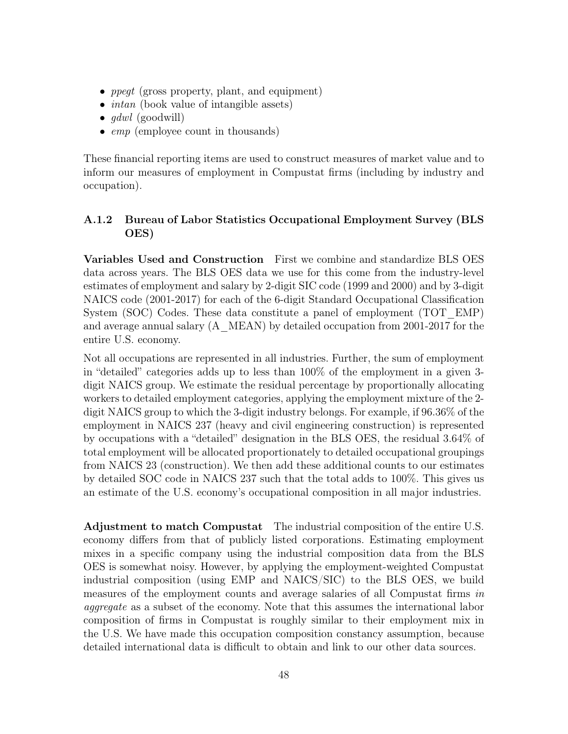- *ppegt* (gross property, plant, and equipment)
- *intan* (book value of intangible assets)
- $\bullet$  qdwl (goodwill)
- *emp* (employee count in thousands)

These financial reporting items are used to construct measures of market value and to inform our measures of employment in Compustat firms (including by industry and occupation).

### A.1.2 Bureau of Labor Statistics Occupational Employment Survey (BLS OES)

Variables Used and Construction First we combine and standardize BLS OES data across years. The BLS OES data we use for this come from the industry-level estimates of employment and salary by 2-digit SIC code (1999 and 2000) and by 3-digit NAICS code (2001-2017) for each of the 6-digit Standard Occupational Classification System (SOC) Codes. These data constitute a panel of employment (TOT\_EMP) and average annual salary (A\_MEAN) by detailed occupation from 2001-2017 for the entire U.S. economy.

Not all occupations are represented in all industries. Further, the sum of employment in "detailed" categories adds up to less than 100% of the employment in a given 3 digit NAICS group. We estimate the residual percentage by proportionally allocating workers to detailed employment categories, applying the employment mixture of the 2 digit NAICS group to which the 3-digit industry belongs. For example, if 96.36% of the employment in NAICS 237 (heavy and civil engineering construction) is represented by occupations with a "detailed" designation in the BLS OES, the residual 3.64% of total employment will be allocated proportionately to detailed occupational groupings from NAICS 23 (construction). We then add these additional counts to our estimates by detailed SOC code in NAICS 237 such that the total adds to 100%. This gives us an estimate of the U.S. economy's occupational composition in all major industries.

Adjustment to match Compustat The industrial composition of the entire U.S. economy differs from that of publicly listed corporations. Estimating employment mixes in a specific company using the industrial composition data from the BLS OES is somewhat noisy. However, by applying the employment-weighted Compustat industrial composition (using EMP and NAICS/SIC) to the BLS OES, we build measures of the employment counts and average salaries of all Compustat firms in aggregate as a subset of the economy. Note that this assumes the international labor composition of firms in Compustat is roughly similar to their employment mix in the U.S. We have made this occupation composition constancy assumption, because detailed international data is difficult to obtain and link to our other data sources.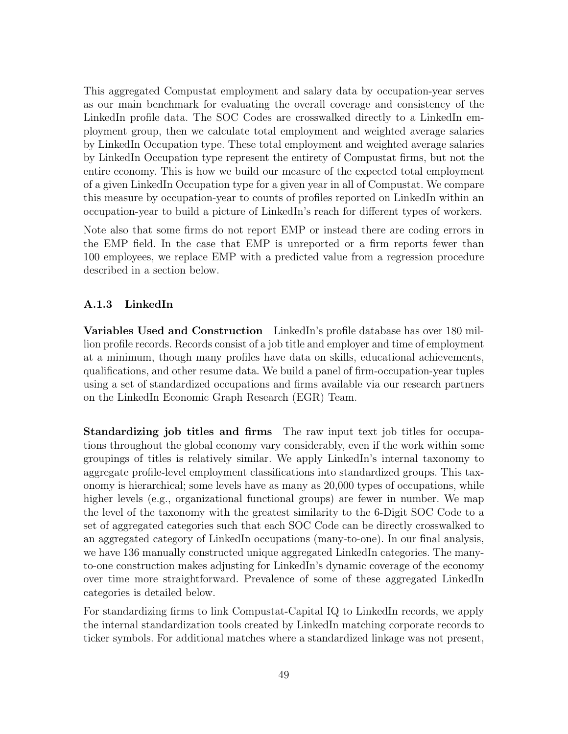This aggregated Compustat employment and salary data by occupation-year serves as our main benchmark for evaluating the overall coverage and consistency of the LinkedIn profile data. The SOC Codes are crosswalked directly to a LinkedIn employment group, then we calculate total employment and weighted average salaries by LinkedIn Occupation type. These total employment and weighted average salaries by LinkedIn Occupation type represent the entirety of Compustat firms, but not the entire economy. This is how we build our measure of the expected total employment of a given LinkedIn Occupation type for a given year in all of Compustat. We compare this measure by occupation-year to counts of profiles reported on LinkedIn within an occupation-year to build a picture of LinkedIn's reach for different types of workers.

Note also that some firms do not report EMP or instead there are coding errors in the EMP field. In the case that EMP is unreported or a firm reports fewer than 100 employees, we replace EMP with a predicted value from a regression procedure described in a section below.

#### A.1.3 LinkedIn

Variables Used and Construction LinkedIn's profile database has over 180 million profile records. Records consist of a job title and employer and time of employment at a minimum, though many profiles have data on skills, educational achievements, qualifications, and other resume data. We build a panel of firm-occupation-year tuples using a set of standardized occupations and firms available via our research partners on the LinkedIn Economic Graph Research (EGR) Team.

Standardizing job titles and firms The raw input text job titles for occupations throughout the global economy vary considerably, even if the work within some groupings of titles is relatively similar. We apply LinkedIn's internal taxonomy to aggregate profile-level employment classifications into standardized groups. This taxonomy is hierarchical; some levels have as many as 20,000 types of occupations, while higher levels (e.g., organizational functional groups) are fewer in number. We map the level of the taxonomy with the greatest similarity to the 6-Digit SOC Code to a set of aggregated categories such that each SOC Code can be directly crosswalked to an aggregated category of LinkedIn occupations (many-to-one). In our final analysis, we have 136 manually constructed unique aggregated LinkedIn categories. The manyto-one construction makes adjusting for LinkedIn's dynamic coverage of the economy over time more straightforward. Prevalence of some of these aggregated LinkedIn categories is detailed below.

For standardizing firms to link Compustat-Capital IQ to LinkedIn records, we apply the internal standardization tools created by LinkedIn matching corporate records to ticker symbols. For additional matches where a standardized linkage was not present,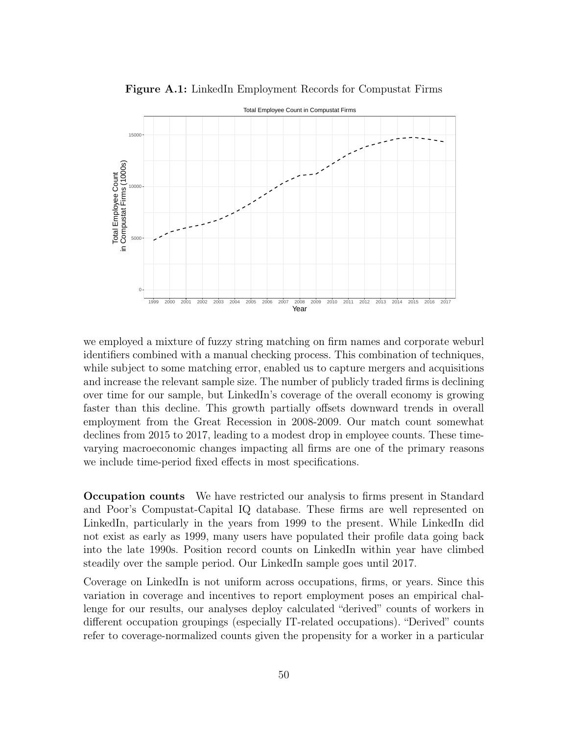

Figure A.1: LinkedIn Employment Records for Compustat Firms

we employed a mixture of fuzzy string matching on firm names and corporate weburl identifiers combined with a manual checking process. This combination of techniques, while subject to some matching error, enabled us to capture mergers and acquisitions and increase the relevant sample size. The number of publicly traded firms is declining over time for our sample, but LinkedIn's coverage of the overall economy is growing faster than this decline. This growth partially offsets downward trends in overall employment from the Great Recession in 2008-2009. Our match count somewhat declines from 2015 to 2017, leading to a modest drop in employee counts. These timevarying macroeconomic changes impacting all firms are one of the primary reasons we include time-period fixed effects in most specifications.

Occupation counts We have restricted our analysis to firms present in Standard and Poor's Compustat-Capital IQ database. These firms are well represented on LinkedIn, particularly in the years from 1999 to the present. While LinkedIn did not exist as early as 1999, many users have populated their profile data going back into the late 1990s. Position record counts on LinkedIn within year have climbed steadily over the sample period. Our LinkedIn sample goes until 2017.

Coverage on LinkedIn is not uniform across occupations, firms, or years. Since this variation in coverage and incentives to report employment poses an empirical challenge for our results, our analyses deploy calculated "derived" counts of workers in different occupation groupings (especially IT-related occupations). "Derived" counts refer to coverage-normalized counts given the propensity for a worker in a particular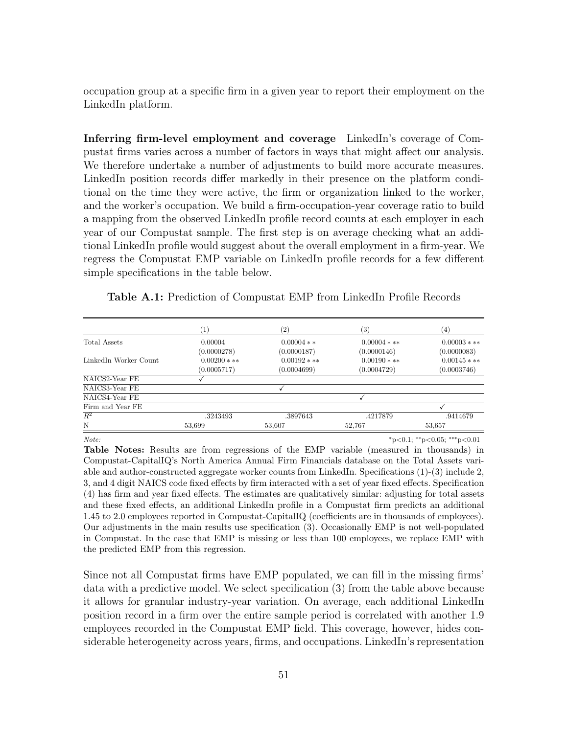occupation group at a specific firm in a given year to report their employment on the LinkedIn platform.

Inferring firm-level employment and coverage LinkedIn's coverage of Compustat firms varies across a number of factors in ways that might affect our analysis. We therefore undertake a number of adjustments to build more accurate measures. LinkedIn position records differ markedly in their presence on the platform conditional on the time they were active, the firm or organization linked to the worker, and the worker's occupation. We build a firm-occupation-year coverage ratio to build a mapping from the observed LinkedIn profile record counts at each employer in each year of our Compustat sample. The first step is on average checking what an additional LinkedIn profile would suggest about the overall employment in a firm-year. We regress the Compustat EMP variable on LinkedIn profile records for a few different simple specifications in the table below.

|                       | $\left( 1\right)$ | $\left( 2\right)$ | $\left( 3\right)$ | $\left( 4\right)$ |
|-----------------------|-------------------|-------------------|-------------------|-------------------|
| Total Assets          | 0.00004           | $0.00004**$       | $0.00004$ * **    | $0.00003$ * **    |
|                       | (0.0000278)       | (0.0000187)       | (0.0000146)       | (0.0000083)       |
| LinkedIn Worker Count | $0.00200$ * **    | $0.00192$ * **    | $0.00190$ * **    | $0.00145$ * **    |
|                       | (0.0005717)       | (0.0004699)       | (0.0004729)       | (0.0003746)       |
| NAICS2-Year FE        |                   |                   |                   |                   |
| NAICS3-Year FE        |                   |                   |                   |                   |
| NAICS4-Year FE        |                   |                   |                   |                   |
| Firm and Year FE      |                   |                   |                   |                   |
| $R^2$                 | .3243493          | .3897643          | .4217879          | .9414679          |
| N                     | 53,699            | 53,607            | 52,767            | 53,657            |

Table A.1: Prediction of Compustat EMP from LinkedIn Profile Records

Note:  $*_{p<0.1; **_{p}<0.05; ***_{p}<0.01}$ 

Table Notes: Results are from regressions of the EMP variable (measured in thousands) in Compustat-CapitalIQ's North America Annual Firm Financials database on the Total Assets variable and author-constructed aggregate worker counts from LinkedIn. Specifications (1)-(3) include 2, 3, and 4 digit NAICS code fixed effects by firm interacted with a set of year fixed effects. Specification (4) has firm and year fixed effects. The estimates are qualitatively similar: adjusting for total assets and these fixed effects, an additional LinkedIn profile in a Compustat firm predicts an additional 1.45 to 2.0 employees reported in Compustat-CapitalIQ (coefficients are in thousands of employees). Our adjustments in the main results use specification (3). Occasionally EMP is not well-populated in Compustat. In the case that EMP is missing or less than 100 employees, we replace EMP with the predicted EMP from this regression.

Since not all Compustat firms have EMP populated, we can fill in the missing firms' data with a predictive model. We select specification (3) from the table above because it allows for granular industry-year variation. On average, each additional LinkedIn position record in a firm over the entire sample period is correlated with another 1.9 employees recorded in the Compustat EMP field. This coverage, however, hides considerable heterogeneity across years, firms, and occupations. LinkedIn's representation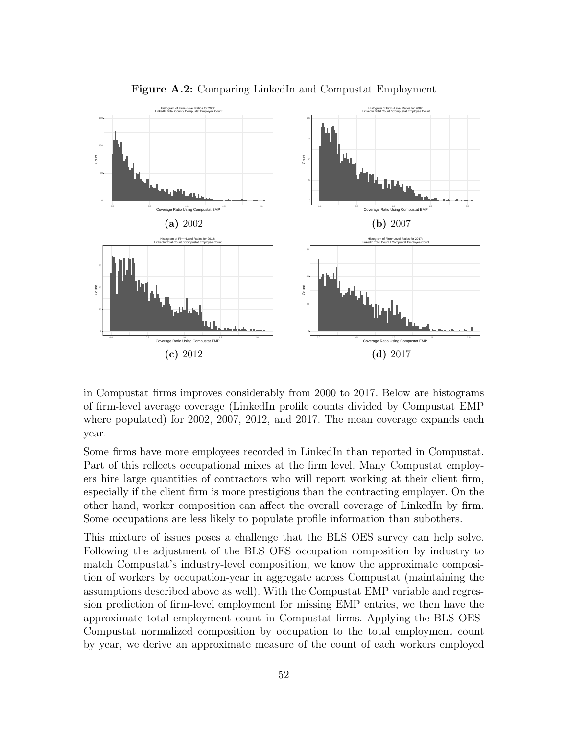

Figure A.2: Comparing LinkedIn and Compustat Employment

in Compustat firms improves considerably from 2000 to 2017. Below are histograms of firm-level average coverage (LinkedIn profile counts divided by Compustat EMP where populated) for 2002, 2007, 2012, and 2017. The mean coverage expands each year.

Some firms have more employees recorded in LinkedIn than reported in Compustat. Part of this reflects occupational mixes at the firm level. Many Compustat employers hire large quantities of contractors who will report working at their client firm, especially if the client firm is more prestigious than the contracting employer. On the other hand, worker composition can affect the overall coverage of LinkedIn by firm. Some occupations are less likely to populate profile information than subothers.

This mixture of issues poses a challenge that the BLS OES survey can help solve. Following the adjustment of the BLS OES occupation composition by industry to match Compustat's industry-level composition, we know the approximate composition of workers by occupation-year in aggregate across Compustat (maintaining the assumptions described above as well). With the Compustat EMP variable and regression prediction of firm-level employment for missing EMP entries, we then have the approximate total employment count in Compustat firms. Applying the BLS OES-Compustat normalized composition by occupation to the total employment count by year, we derive an approximate measure of the count of each workers employed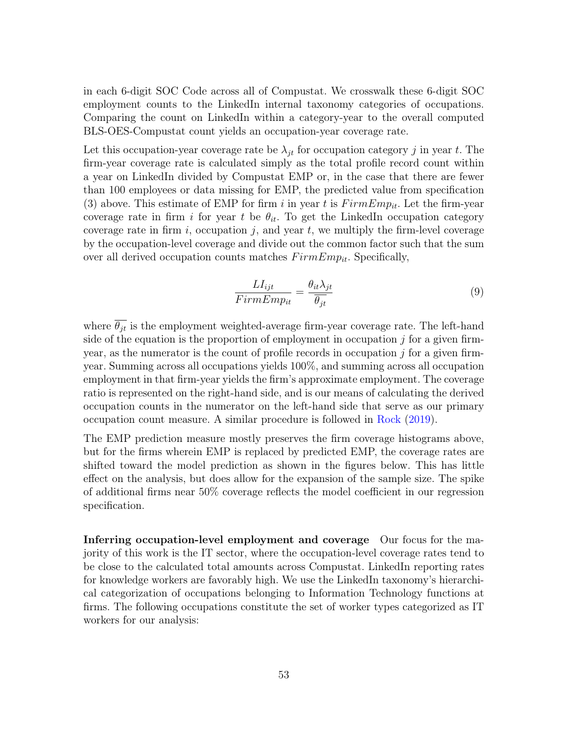in each 6-digit SOC Code across all of Compustat. We crosswalk these 6-digit SOC employment counts to the LinkedIn internal taxonomy categories of occupations. Comparing the count on LinkedIn within a category-year to the overall computed BLS-OES-Compustat count yields an occupation-year coverage rate.

Let this occupation-year coverage rate be  $\lambda_{it}$  for occupation category j in year t. The firm-year coverage rate is calculated simply as the total profile record count within a year on LinkedIn divided by Compustat EMP or, in the case that there are fewer than 100 employees or data missing for EMP, the predicted value from specification (3) above. This estimate of EMP for firm i in year t is  $FirmEmp_{it}$ . Let the firm-year coverage rate in firm i for year t be  $\theta_{it}$ . To get the LinkedIn occupation category coverage rate in firm i, occupation  $j$ , and year t, we multiply the firm-level coverage by the occupation-level coverage and divide out the common factor such that the sum over all derived occupation counts matches  $FirmEmp_{it}$ . Specifically,

$$
\frac{LI_{ijt}}{FirmEmp_{it}} = \frac{\theta_{it}\lambda_{jt}}{\overline{\theta_{jt}}}
$$
\n(9)

where  $\overline{\theta_{it}}$  is the employment weighted-average firm-year coverage rate. The left-hand side of the equation is the proportion of employment in occupation  $j$  for a given firmyear, as the numerator is the count of profile records in occupation  $j$  for a given firmyear. Summing across all occupations yields 100%, and summing across all occupation employment in that firm-year yields the firm's approximate employment. The coverage ratio is represented on the right-hand side, and is our means of calculating the derived occupation counts in the numerator on the left-hand side that serve as our primary occupation count measure. A similar procedure is followed in [Rock](#page-29-1) [\(2019\)](#page-29-1).

The EMP prediction measure mostly preserves the firm coverage histograms above, but for the firms wherein EMP is replaced by predicted EMP, the coverage rates are shifted toward the model prediction as shown in the figures below. This has little effect on the analysis, but does allow for the expansion of the sample size. The spike of additional firms near 50% coverage reflects the model coefficient in our regression specification.

Inferring occupation-level employment and coverage Our focus for the majority of this work is the IT sector, where the occupation-level coverage rates tend to be close to the calculated total amounts across Compustat. LinkedIn reporting rates for knowledge workers are favorably high. We use the LinkedIn taxonomy's hierarchical categorization of occupations belonging to Information Technology functions at firms. The following occupations constitute the set of worker types categorized as IT workers for our analysis: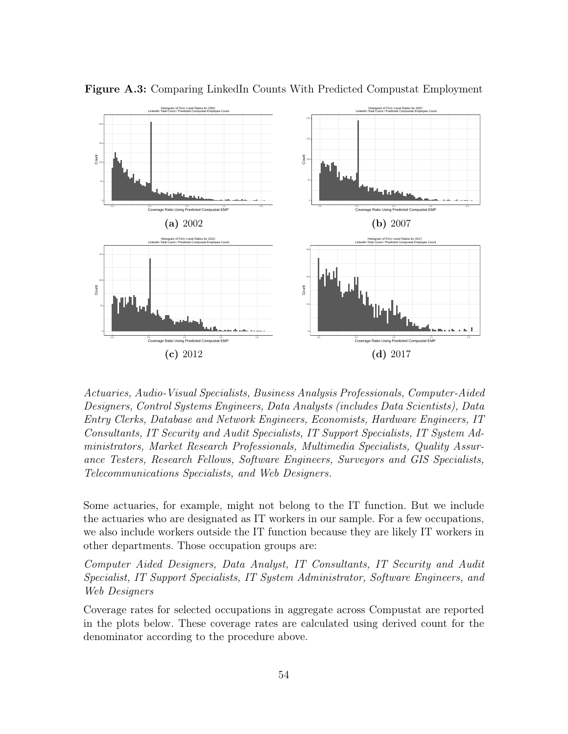

Figure A.3: Comparing LinkedIn Counts With Predicted Compustat Employment

Actuaries, Audio-Visual Specialists, Business Analysis Professionals, Computer-Aided Designers, Control Systems Engineers, Data Analysts (includes Data Scientists), Data Entry Clerks, Database and Network Engineers, Economists, Hardware Engineers, IT Consultants, IT Security and Audit Specialists, IT Support Specialists, IT System Administrators, Market Research Professionals, Multimedia Specialists, Quality Assurance Testers, Research Fellows, Software Engineers, Surveyors and GIS Specialists, Telecommunications Specialists, and Web Designers.

Some actuaries, for example, might not belong to the IT function. But we include the actuaries who are designated as IT workers in our sample. For a few occupations, we also include workers outside the IT function because they are likely IT workers in other departments. Those occupation groups are:

Computer Aided Designers, Data Analyst, IT Consultants, IT Security and Audit Specialist, IT Support Specialists, IT System Administrator, Software Engineers, and Web Designers

Coverage rates for selected occupations in aggregate across Compustat are reported in the plots below. These coverage rates are calculated using derived count for the denominator according to the procedure above.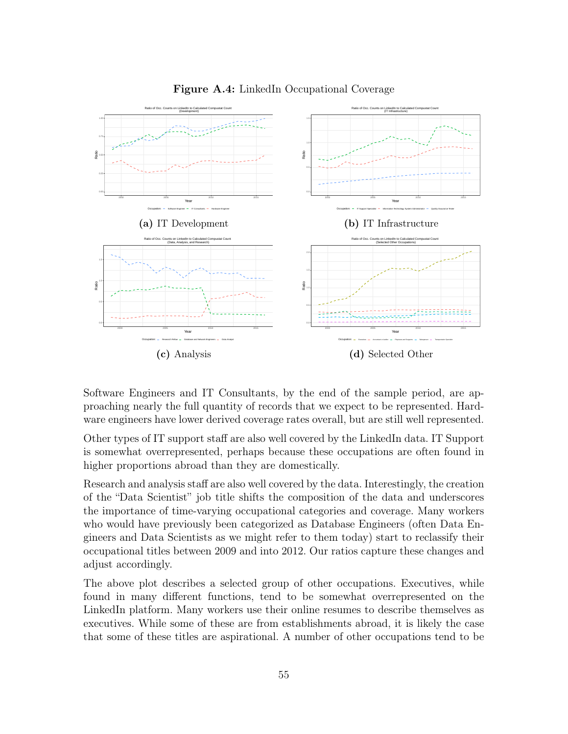

Figure A.4: LinkedIn Occupational Coverage

Software Engineers and IT Consultants, by the end of the sample period, are approaching nearly the full quantity of records that we expect to be represented. Hardware engineers have lower derived coverage rates overall, but are still well represented.

Other types of IT support staff are also well covered by the LinkedIn data. IT Support is somewhat overrepresented, perhaps because these occupations are often found in higher proportions abroad than they are domestically.

Research and analysis staff are also well covered by the data. Interestingly, the creation of the "Data Scientist" job title shifts the composition of the data and underscores the importance of time-varying occupational categories and coverage. Many workers who would have previously been categorized as Database Engineers (often Data Engineers and Data Scientists as we might refer to them today) start to reclassify their occupational titles between 2009 and into 2012. Our ratios capture these changes and adjust accordingly.

The above plot describes a selected group of other occupations. Executives, while found in many different functions, tend to be somewhat overrepresented on the LinkedIn platform. Many workers use their online resumes to describe themselves as executives. While some of these are from establishments abroad, it is likely the case that some of these titles are aspirational. A number of other occupations tend to be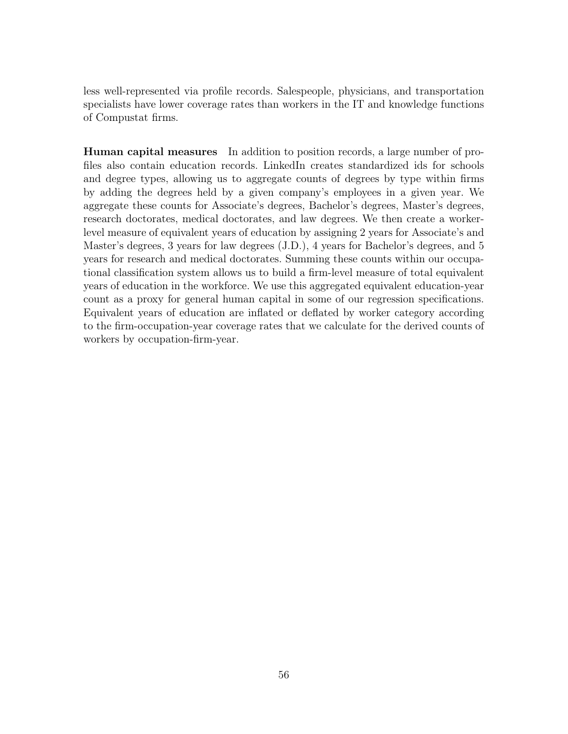less well-represented via profile records. Salespeople, physicians, and transportation specialists have lower coverage rates than workers in the IT and knowledge functions of Compustat firms.

Human capital measures In addition to position records, a large number of profiles also contain education records. LinkedIn creates standardized ids for schools and degree types, allowing us to aggregate counts of degrees by type within firms by adding the degrees held by a given company's employees in a given year. We aggregate these counts for Associate's degrees, Bachelor's degrees, Master's degrees, research doctorates, medical doctorates, and law degrees. We then create a workerlevel measure of equivalent years of education by assigning 2 years for Associate's and Master's degrees, 3 years for law degrees (J.D.), 4 years for Bachelor's degrees, and 5 years for research and medical doctorates. Summing these counts within our occupational classification system allows us to build a firm-level measure of total equivalent years of education in the workforce. We use this aggregated equivalent education-year count as a proxy for general human capital in some of our regression specifications. Equivalent years of education are inflated or deflated by worker category according to the firm-occupation-year coverage rates that we calculate for the derived counts of workers by occupation-firm-year.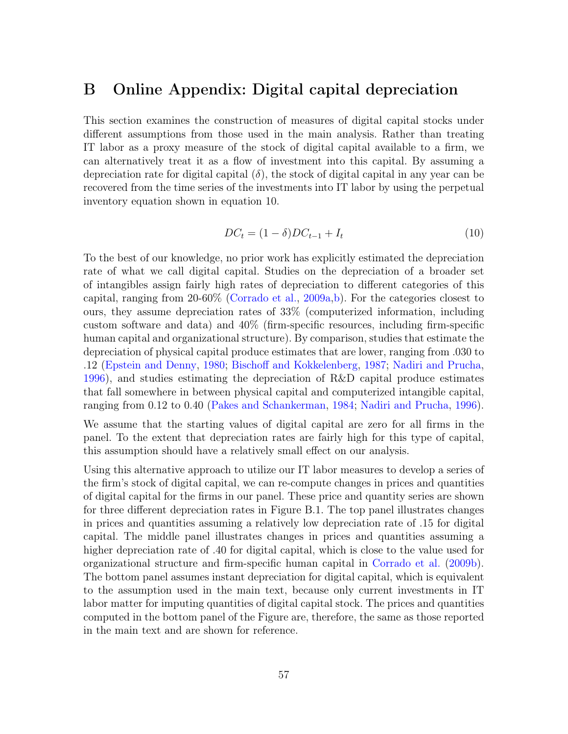# <span id="page-56-0"></span>B Online Appendix: Digital capital depreciation

This section examines the construction of measures of digital capital stocks under different assumptions from those used in the main analysis. Rather than treating IT labor as a proxy measure of the stock of digital capital available to a firm, we can alternatively treat it as a flow of investment into this capital. By assuming a depreciation rate for digital capital  $(\delta)$ , the stock of digital capital in any year can be recovered from the time series of the investments into IT labor by using the perpetual inventory equation shown in equation [10.](#page-56-1)

<span id="page-56-1"></span>
$$
DC_t = (1 - \delta)DC_{t-1} + I_t
$$
\n(10)

To the best of our knowledge, no prior work has explicitly estimated the depreciation rate of what we call digital capital. Studies on the depreciation of a broader set of intangibles assign fairly high rates of depreciation to different categories of this capital, ranging from 20-60% [\(Corrado et al.,](#page-27-4) [2009a,](#page-27-4)[b\)](#page-27-5). For the categories closest to ours, they assume depreciation rates of 33% (computerized information, including custom software and data) and 40% (firm-specific resources, including firm-specific human capital and organizational structure). By comparison, studies that estimate the depreciation of physical capital produce estimates that are lower, ranging from .030 to .12 [\(Epstein and Denny,](#page-27-13) [1980;](#page-27-13) [Bischoff and Kokkelenberg,](#page-26-12) [1987;](#page-26-12) [Nadiri and Prucha,](#page-29-12) [1996\)](#page-29-12), and studies estimating the depreciation of R&D capital produce estimates that fall somewhere in between physical capital and computerized intangible capital, ranging from 0.12 to 0.40 [\(Pakes and Schankerman,](#page-29-13) [1984;](#page-29-13) [Nadiri and Prucha,](#page-29-12) [1996\)](#page-29-12).

We assume that the starting values of digital capital are zero for all firms in the panel. To the extent that depreciation rates are fairly high for this type of capital, this assumption should have a relatively small effect on our analysis.

Using this alternative approach to utilize our IT labor measures to develop a series of the firm's stock of digital capital, we can re-compute changes in prices and quantities of digital capital for the firms in our panel. These price and quantity series are shown for three different depreciation rates in Figure [B.1.](#page-58-0) The top panel illustrates changes in prices and quantities assuming a relatively low depreciation rate of .15 for digital capital. The middle panel illustrates changes in prices and quantities assuming a higher depreciation rate of .40 for digital capital, which is close to the value used for organizational structure and firm-specific human capital in [Corrado et al.](#page-27-5) [\(2009b\)](#page-27-5). The bottom panel assumes instant depreciation for digital capital, which is equivalent to the assumption used in the main text, because only current investments in IT labor matter for imputing quantities of digital capital stock. The prices and quantities computed in the bottom panel of the Figure are, therefore, the same as those reported in the main text and are shown for reference.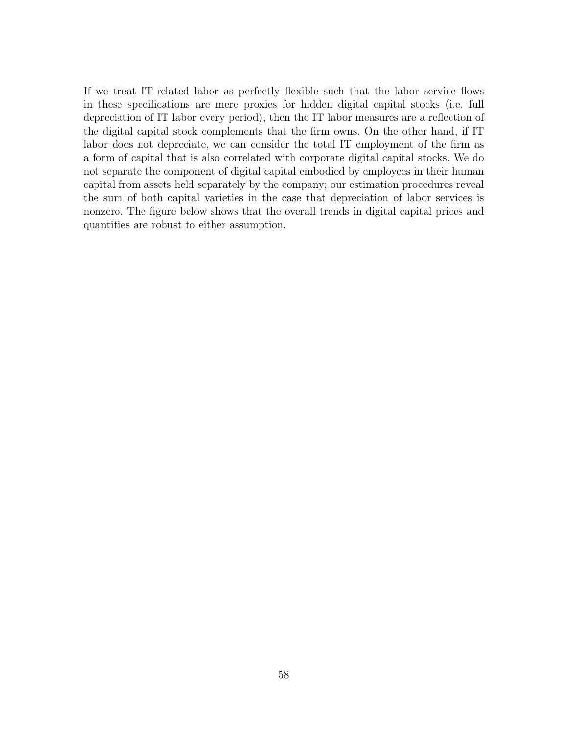If we treat IT-related labor as perfectly flexible such that the labor service flows in these specifications are mere proxies for hidden digital capital stocks (i.e. full depreciation of IT labor every period), then the IT labor measures are a reflection of the digital capital stock complements that the firm owns. On the other hand, if IT labor does not depreciate, we can consider the total IT employment of the firm as a form of capital that is also correlated with corporate digital capital stocks. We do not separate the component of digital capital embodied by employees in their human capital from assets held separately by the company; our estimation procedures reveal the sum of both capital varieties in the case that depreciation of labor services is nonzero. The figure below shows that the overall trends in digital capital prices and quantities are robust to either assumption.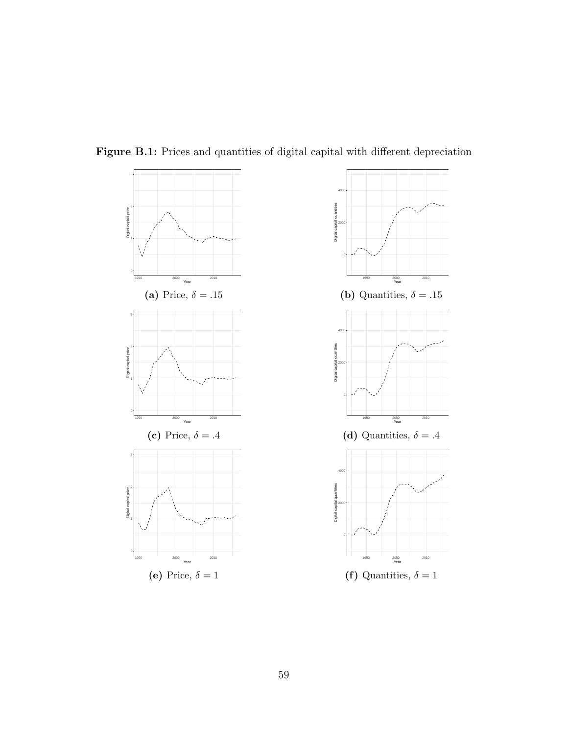<span id="page-58-0"></span>



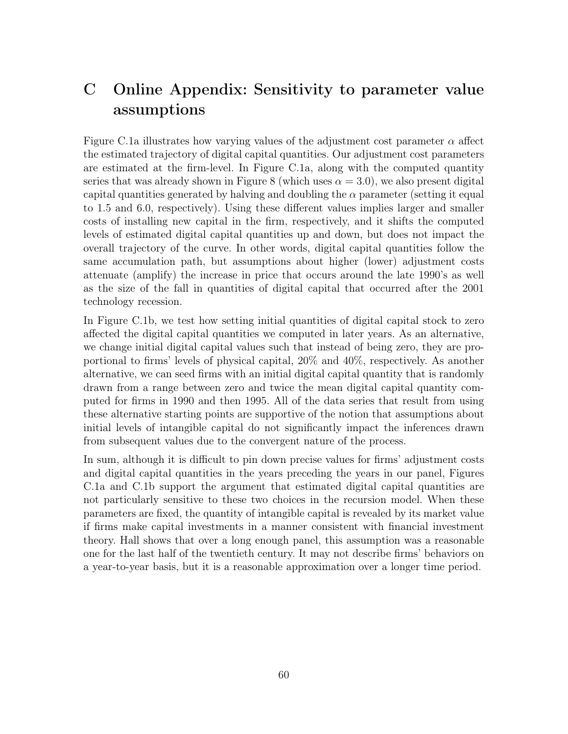# <span id="page-59-0"></span>C Online Appendix: Sensitivity to parameter value assumptions

Figure [C.1a](#page-60-0) illustrates how varying values of the adjustment cost parameter  $\alpha$  affect the estimated trajectory of digital capital quantities. Our adjustment cost parameters are estimated at the firm-level. In Figure [C.1a,](#page-60-0) along with the computed quantity series that was already shown in Figure [8](#page-36-1) (which uses  $\alpha = 3.0$ ), we also present digital capital quantities generated by halving and doubling the  $\alpha$  parameter (setting it equal to 1.5 and 6.0, respectively). Using these different values implies larger and smaller costs of installing new capital in the firm, respectively, and it shifts the computed levels of estimated digital capital quantities up and down, but does not impact the overall trajectory of the curve. In other words, digital capital quantities follow the same accumulation path, but assumptions about higher (lower) adjustment costs attenuate (amplify) the increase in price that occurs around the late 1990's as well as the size of the fall in quantities of digital capital that occurred after the 2001 technology recession.

In Figure [C.1b,](#page-60-0) we test how setting initial quantities of digital capital stock to zero affected the digital capital quantities we computed in later years. As an alternative, we change initial digital capital values such that instead of being zero, they are proportional to firms' levels of physical capital, 20% and 40%, respectively. As another alternative, we can seed firms with an initial digital capital quantity that is randomly drawn from a range between zero and twice the mean digital capital quantity computed for firms in 1990 and then 1995. All of the data series that result from using these alternative starting points are supportive of the notion that assumptions about initial levels of intangible capital do not significantly impact the inferences drawn from subsequent values due to the convergent nature of the process.

In sum, although it is difficult to pin down precise values for firms' adjustment costs and digital capital quantities in the years preceding the years in our panel, Figures [C.1a](#page-60-0) and [C.1b](#page-60-0) support the argument that estimated digital capital quantities are not particularly sensitive to these two choices in the recursion model. When these parameters are fixed, the quantity of intangible capital is revealed by its market value if firms make capital investments in a manner consistent with financial investment theory. Hall shows that over a long enough panel, this assumption was a reasonable one for the last half of the twentieth century. It may not describe firms' behaviors on a year-to-year basis, but it is a reasonable approximation over a longer time period.